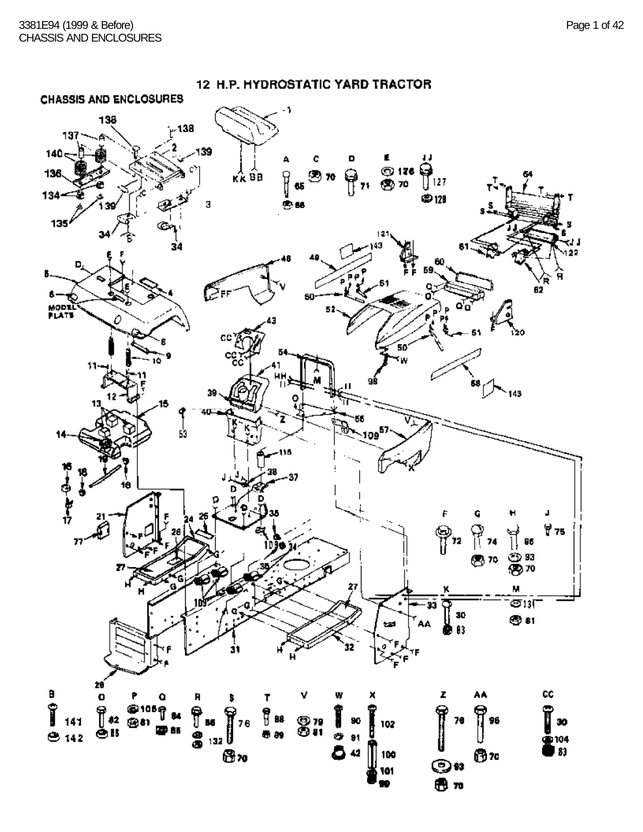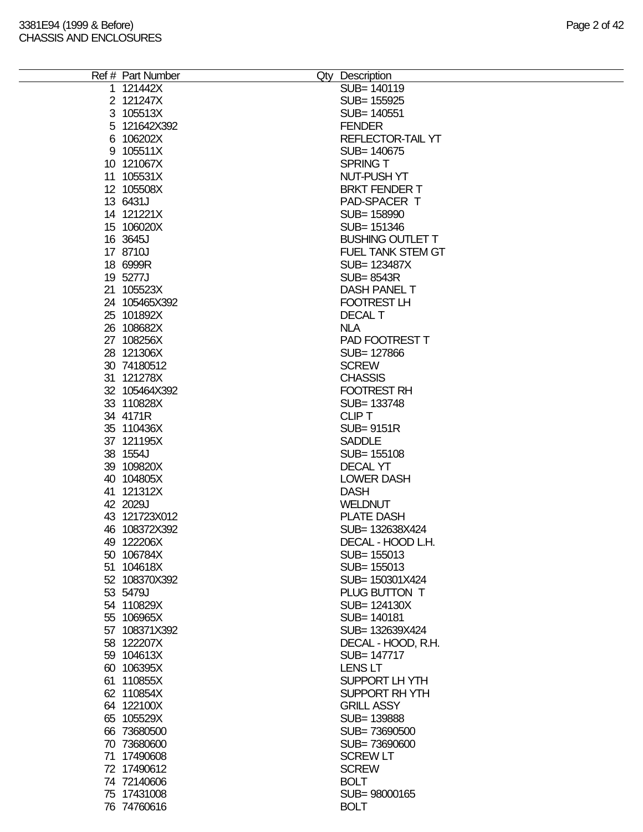| Ref # Part Number | Qty Description          |
|-------------------|--------------------------|
| 1 121442X         | SUB= 140119              |
| 2 121247X         | SUB= 155925              |
| 3 105513X         | SUB= 140551              |
|                   |                          |
| 5 121642X392      | <b>FENDER</b>            |
| 6 106202X         | REFLECTOR-TAIL YT        |
| 9 105511X         | SUB= 140675              |
| 10 121067X        | <b>SPRING T</b>          |
| 11 105531X        | NUT-PUSH YT              |
|                   |                          |
| 12 105508X        | <b>BRKT FENDER T</b>     |
| 13 6431J          | PAD-SPACER T             |
| 14 121221X        | SUB= 158990              |
| 15 106020X        | SUB= 151346              |
| 16 3645J          | <b>BUSHING OUTLET T</b>  |
| 17 8710J          | <b>FUEL TANK STEM GT</b> |
|                   |                          |
| 18 6999R          | SUB= 123487X             |
| 19 5277J          | <b>SUB=8543R</b>         |
| 21 105523X        | <b>DASH PANEL T</b>      |
| 24 105465X392     | <b>FOOTREST LH</b>       |
| 25 101892X        | <b>DECAL T</b>           |
| 26 108682X        | <b>NLA</b>               |
|                   |                          |
| 27 108256X        | PAD FOOTREST T           |
| 28 121306X        | SUB= 127866              |
| 30 74180512       | <b>SCREW</b>             |
| 31 121278X        | <b>CHASSIS</b>           |
| 32 105464X392     | <b>FOOTREST RH</b>       |
| 33 110828X        | SUB= 133748              |
|                   |                          |
| 34 4171R          | <b>CLIPT</b>             |
| 35 110436X        | <b>SUB=9151R</b>         |
| 37 121195X        | <b>SADDLE</b>            |
| 38 1554J          | SUB= 155108              |
| 39 109820X        | <b>DECAL YT</b>          |
|                   |                          |
| 40 104805X        | <b>LOWER DASH</b>        |
| 41 121312X        | <b>DASH</b>              |
| 42 2029J          | <b>WELDNUT</b>           |
| 43 121723X012     | <b>PLATE DASH</b>        |
| 46 108372X392     | SUB= 132638X424          |
| 49 122206X        | DECAL - HOOD L.H.        |
|                   |                          |
| 50 106784X        | SUB= 155013              |
| 51 104618X        | SUB= 155013              |
| 52 108370X392     | SUB= 150301X424          |
| 53 5479J          | PLUG BUTTON T            |
| 54 110829X        | SUB= 124130X             |
| 55 106965X        | SUB= 140181              |
|                   |                          |
| 57 108371X392     | SUB= 132639X424          |
| 58 122207X        | DECAL - HOOD, R.H.       |
| 59 104613X        | SUB= 147717              |
| 60 106395X        | LENS LT                  |
| 61 110855X        | SUPPORT LH YTH           |
| 62 110854X        | SUPPORT RH YTH           |
|                   |                          |
| 64 122100X        | <b>GRILL ASSY</b>        |
| 65 105529X        | SUB= 139888              |
| 66 73680500       | SUB=73690500             |
| 70 73680600       | SUB=73690600             |
| 71 17490608       | <b>SCREW LT</b>          |
| 72 17490612       | <b>SCREW</b>             |
|                   |                          |
| 74 72140606       | <b>BOLT</b>              |
| 75 17431008       | SUB=98000165             |
| 76 74760616       | <b>BOLT</b>              |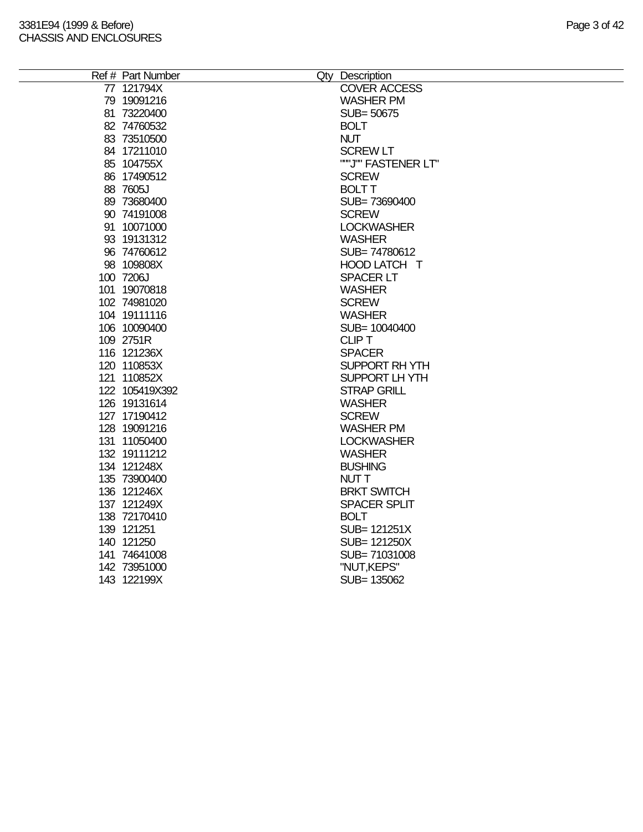| Ref # Part Number | Qty Description     |
|-------------------|---------------------|
| 77 121794X        | <b>COVER ACCESS</b> |
| 79 19091216       | <b>WASHER PM</b>    |
| 81 73220400       | SUB=50675           |
| 82 74760532       | <b>BOLT</b>         |
| 83 73510500       | <b>NUT</b>          |
| 84 17211010       | <b>SCREW LT</b>     |
| 85 104755X        | ""J"" FASTENER LT"  |
| 86 17490512       | <b>SCREW</b>        |
| 88 7605J          | <b>BOLT T</b>       |
| 89 73680400       | SUB=73690400        |
| 90 74191008       | <b>SCREW</b>        |
| 91 10071000       | <b>LOCKWASHER</b>   |
| 93 19131312       | <b>WASHER</b>       |
| 96 74760612       | SUB=74780612        |
| 98 109808X        | HOOD LATCH T        |
| 100 7206J         | <b>SPACER LT</b>    |
| 101 19070818      | <b>WASHER</b>       |
| 102 74981020      | <b>SCREW</b>        |
| 104 19111116      | <b>WASHER</b>       |
| 106 10090400      | SUB= 10040400       |
| 109 2751R         | <b>CLIPT</b>        |
| 116 121236X       | <b>SPACER</b>       |
| 120 110853X       | SUPPORT RH YTH      |
| 121 110852X       | SUPPORT LHYTH       |
| 122 105419X392    | <b>STRAP GRILL</b>  |
| 126 19131614      | <b>WASHER</b>       |
| 127 17190412      | <b>SCREW</b>        |
| 128 19091216      | <b>WASHER PM</b>    |
| 131 11050400      | <b>LOCKWASHER</b>   |
| 132 19111212      | <b>WASHER</b>       |
| 134 121248X       | <b>BUSHING</b>      |
| 135 73900400      | <b>NUTT</b>         |
| 136 121246X       | <b>BRKT SWITCH</b>  |
| 137 121249X       | <b>SPACER SPLIT</b> |
| 138 72170410      | <b>BOLT</b>         |
| 139 121251        | SUB= 121251X        |
| 140 121250        | SUB= 121250X        |
| 141 74641008      | SUB=71031008        |
| 142 73951000      | "NUT, KEPS"         |
| 143 122199X       | SUB= 135062         |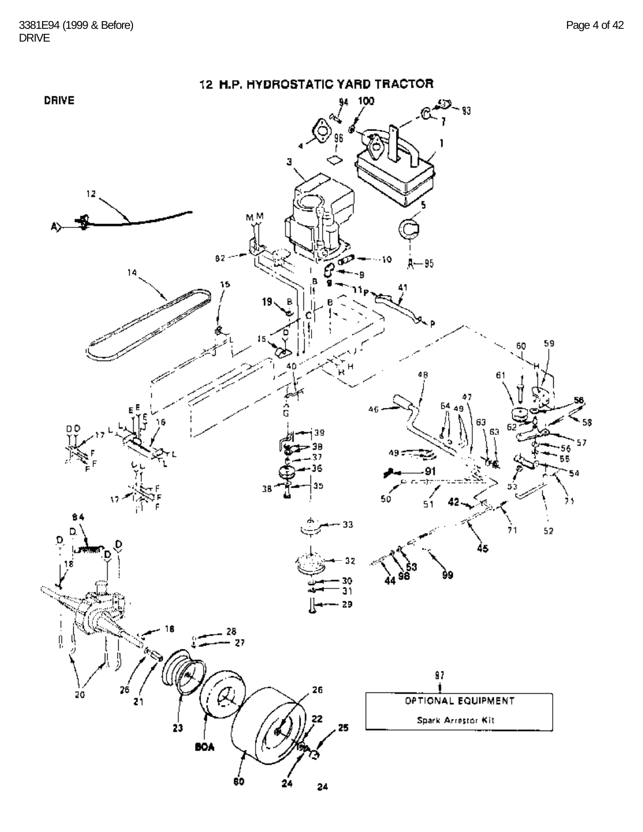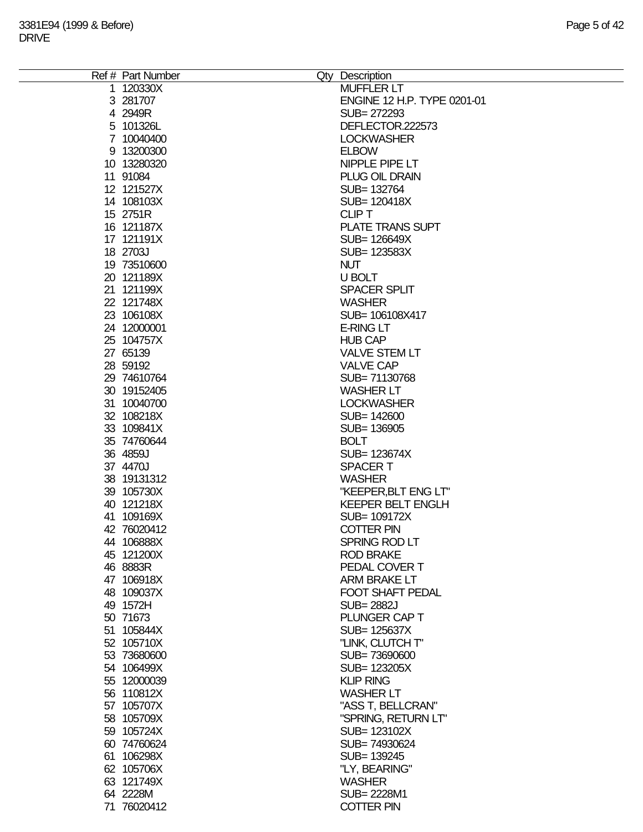| Ref # Part Number | Qty Description             |
|-------------------|-----------------------------|
| 1 120330X         | <b>MUFFLER LT</b>           |
| 3 281707          | ENGINE 12 H.P. TYPE 0201-01 |
| 4 2949R           | SUB= 272293                 |
| 5 101326L         | DEFLECTOR.222573            |
| 7 10040400        | <b>LOCKWASHER</b>           |
| 9 13200300        | <b>ELBOW</b>                |
| 10 13280320       | NIPPLE PIPE LT              |
|                   |                             |
| 11 91084          | <b>PLUG OIL DRAIN</b>       |
| 12 121527X        | SUB= 132764                 |
| 14 108103X        | SUB= 120418X                |
| 15 2751R          | <b>CLIP T</b>               |
| 16 121187X        | <b>PLATE TRANS SUPT</b>     |
| 17 121191X        | SUB= 126649X                |
| 18 2703J          | SUB= 123583X                |
| 19 73510600       | <b>NUT</b>                  |
| 20 121189X        | U BOLT                      |
| 21 121199X        | <b>SPACER SPLIT</b>         |
| 22 121748X        | <b>WASHER</b>               |
| 23 106108X        | SUB= 106108X417             |
| 24 12000001       | <b>E-RING LT</b>            |
| 25 104757X        | <b>HUB CAP</b>              |
| 27 65139          | <b>VALVE STEM LT</b>        |
|                   |                             |
| 28 59192          | <b>VALVE CAP</b>            |
| 29 74610764       | SUB=71130768                |
| 30 19152405       | <b>WASHER LT</b>            |
| 31 10040700       | <b>LOCKWASHER</b>           |
| 32 108218X        | SUB= 142600                 |
| 33 109841X        | SUB= 136905                 |
| 35 74760644       | <b>BOLT</b>                 |
| 36 4859J          | SUB= 123674X                |
| 37 4470J          | <b>SPACERT</b>              |
| 38 19131312       | <b>WASHER</b>               |
| 39 105730X        | "KEEPER, BLT ENG LT"        |
| 40 121218X        | <b>KEEPER BELT ENGLH</b>    |
| 41 109169X        | SUB= 109172X                |
| 42 76020412       | <b>COTTER PIN</b>           |
| 44 106888X        | SPRING ROD LT               |
| 45 121200X        | <b>ROD BRAKE</b>            |
| 46 8883R          | PEDAL COVER T               |
| 47 106918X        | ARM BRAKE LT                |
|                   | FOOT SHAFT PEDAL            |
| 48 109037X        |                             |
| 49 1572H          | <b>SUB=2882J</b>            |
| 50 71673          | PLUNGER CAP T               |
| 51 105844X        | SUB= 125637X                |
| 52 105710X        | "LINK, CLUTCH T"            |
| 53 73680600       | SUB=73690600                |
| 54 106499X        | SUB= 123205X                |
| 55 12000039       | <b>KLIP RING</b>            |
| 56 110812X        | <b>WASHER LT</b>            |
| 57 105707X        | "ASS T, BELLCRAN"           |
| 58 105709X        | "SPRING, RETURN LT"         |
| 59 105724X        | SUB= 123102X                |
| 60 74760624       | SUB=74930624                |
| 61 106298X        | SUB= 139245                 |
| 62 105706X        | "LY, BEARING"               |
|                   |                             |
| 63 121749X        | <b>WASHER</b>               |
| 64 2228M          | SUB= 2228M1                 |
| 71 76020412       | <b>COTTER PIN</b>           |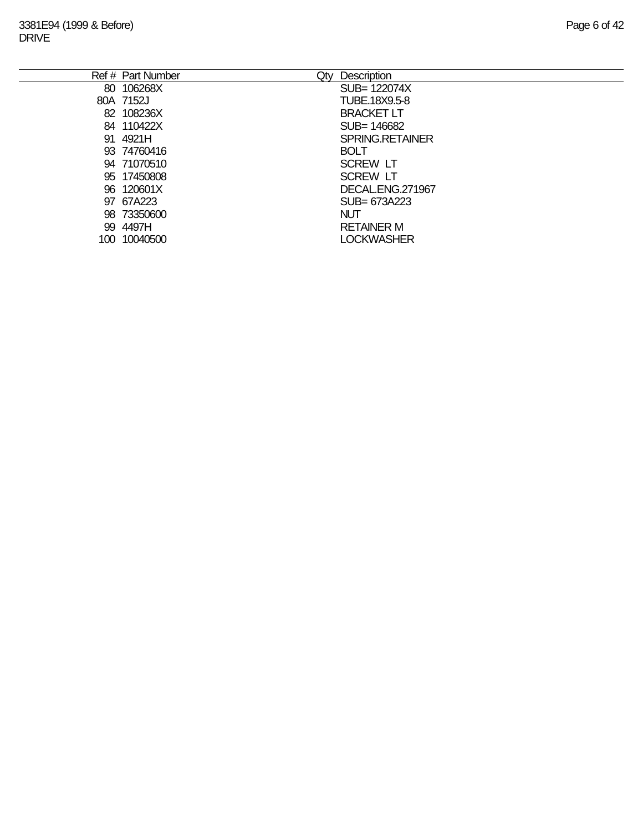|      | Ref # Part Number<br>Qty | Description            |
|------|--------------------------|------------------------|
|      | 80 106268X               | SUB= 122074X           |
|      | 80A 7152J                | TUBE.18X9.5-8          |
|      | 82 108236X               | <b>BRACKET LT</b>      |
|      | 84 110422X               | SUB= 146682            |
|      | 91 4921H                 | <b>SPRING.RETAINER</b> |
|      | 93 74760416              | <b>BOLT</b>            |
|      | 94 71070510              | <b>SCREW LT</b>        |
|      | 95 17450808              | <b>SCREW LT</b>        |
|      | 96 120601X               | DECAL.ENG.271967       |
|      | 97 67A223                | SUB= 673A223           |
|      | 98 73350600              | <b>NUT</b>             |
|      | 99 4497H                 | <b>RETAINER M</b>      |
| 100. | 10040500                 | <b>LOCKWASHER</b>      |
|      |                          |                        |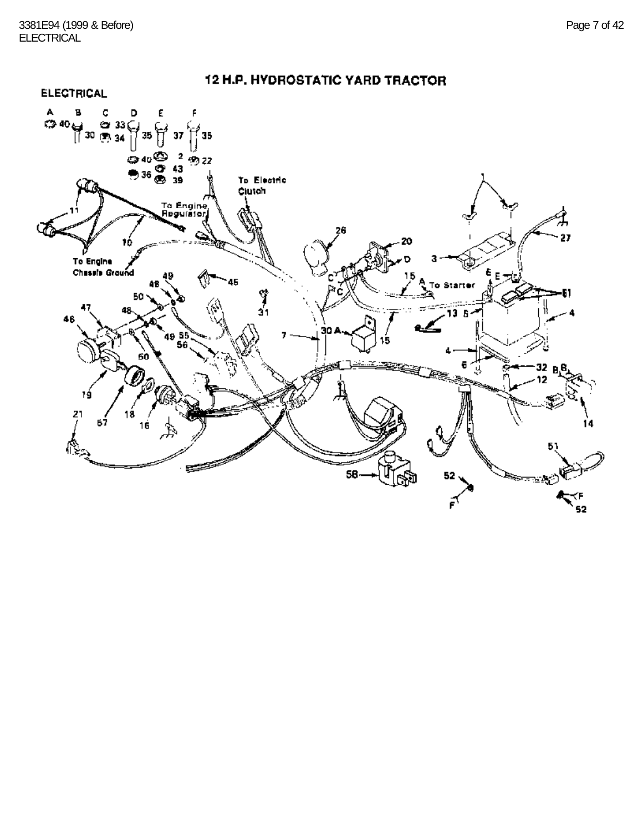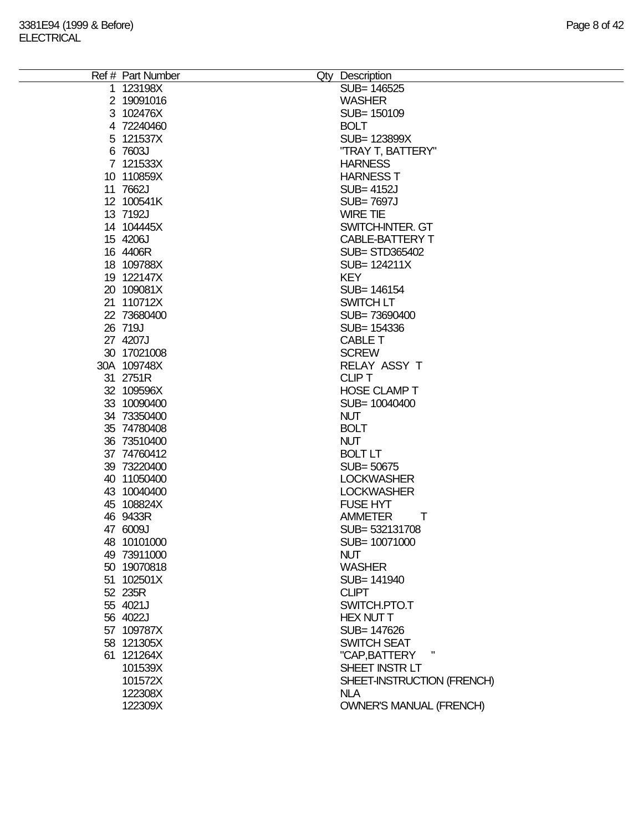| Ref # Part Number<br>Qty Description<br>1 123198X<br>SUB= 146525<br>2 19091016<br><b>WASHER</b><br>3 102476X<br>SUB= 150109<br>4 72240460<br><b>BOLT</b><br>5 121537X<br>SUB= 123899X<br>6 7603J<br>"TRAY T, BATTERY"<br>7 121533X<br><b>HARNESS</b><br>10 110859X<br><b>HARNESS T</b><br>11 7662J<br><b>SUB=4152J</b><br>12 100541K<br><b>SUB=7697J</b><br>13 7192J<br><b>WIRE TIE</b><br>14 104445X<br>SWITCH-INTER. GT<br>15 4206J<br>CABLE-BATTERY T<br>16 4406R<br><b>SUB= STD365402</b><br>18 109788X<br>SUB= 124211X<br><b>KEY</b><br>19 122147X<br>20 109081X<br>SUB= 146154<br>21 110712X<br>SWITCH LT<br>22 73680400<br>SUB=73690400<br>26 719J<br>SUB= 154336<br>27 4207J<br><b>CABLE T</b><br>30 17021008<br><b>SCREW</b><br>30A 109748X<br>RELAY ASSY T<br>31 2751R<br><b>CLIPT</b><br>32 109596X<br><b>HOSE CLAMP T</b><br>33 10090400<br>SUB= 10040400<br>34 73350400<br><b>NUT</b><br>35 74780408<br><b>BOLT</b><br>36 73510400<br><b>NUT</b><br><b>BOLT LT</b><br>37 74760412<br>39 73220400<br>SUB= 50675<br>40 11050400<br><b>LOCKWASHER</b><br><b>LOCKWASHER</b><br>43 10040400<br>45 108824X<br><b>FUSE HYT</b><br>46 9433R<br>T<br><b>AMMETER</b><br>47 6009J<br>SUB= 532131708<br>48 10101000<br>SUB= 10071000<br>49 73911000<br><b>NUT</b><br>50 19070818<br><b>WASHER</b><br>51 102501X<br>SUB= 141940<br>52 235R<br><b>CLIPT</b><br>55 4021J<br>SWITCH.PTO.T<br>56 4022J<br><b>HEX NUT T</b><br>57 109787X<br>SUB= 147626<br>SWITCH SEAT<br>58 121305X<br>61 121264X<br>"CAP, BATTERY<br>SHEET INSTRLT<br>101539X<br>101572X<br>SHEET-INSTRUCTION (FRENCH)<br>122308X<br><b>NLA</b><br>122309X<br><b>OWNER'S MANUAL (FRENCH)</b> |  |  |
|------------------------------------------------------------------------------------------------------------------------------------------------------------------------------------------------------------------------------------------------------------------------------------------------------------------------------------------------------------------------------------------------------------------------------------------------------------------------------------------------------------------------------------------------------------------------------------------------------------------------------------------------------------------------------------------------------------------------------------------------------------------------------------------------------------------------------------------------------------------------------------------------------------------------------------------------------------------------------------------------------------------------------------------------------------------------------------------------------------------------------------------------------------------------------------------------------------------------------------------------------------------------------------------------------------------------------------------------------------------------------------------------------------------------------------------------------------------------------------------------------------------------------------------------------------------------------------------------------------------------------------------------------------|--|--|
|                                                                                                                                                                                                                                                                                                                                                                                                                                                                                                                                                                                                                                                                                                                                                                                                                                                                                                                                                                                                                                                                                                                                                                                                                                                                                                                                                                                                                                                                                                                                                                                                                                                            |  |  |
|                                                                                                                                                                                                                                                                                                                                                                                                                                                                                                                                                                                                                                                                                                                                                                                                                                                                                                                                                                                                                                                                                                                                                                                                                                                                                                                                                                                                                                                                                                                                                                                                                                                            |  |  |
|                                                                                                                                                                                                                                                                                                                                                                                                                                                                                                                                                                                                                                                                                                                                                                                                                                                                                                                                                                                                                                                                                                                                                                                                                                                                                                                                                                                                                                                                                                                                                                                                                                                            |  |  |
|                                                                                                                                                                                                                                                                                                                                                                                                                                                                                                                                                                                                                                                                                                                                                                                                                                                                                                                                                                                                                                                                                                                                                                                                                                                                                                                                                                                                                                                                                                                                                                                                                                                            |  |  |
|                                                                                                                                                                                                                                                                                                                                                                                                                                                                                                                                                                                                                                                                                                                                                                                                                                                                                                                                                                                                                                                                                                                                                                                                                                                                                                                                                                                                                                                                                                                                                                                                                                                            |  |  |
|                                                                                                                                                                                                                                                                                                                                                                                                                                                                                                                                                                                                                                                                                                                                                                                                                                                                                                                                                                                                                                                                                                                                                                                                                                                                                                                                                                                                                                                                                                                                                                                                                                                            |  |  |
|                                                                                                                                                                                                                                                                                                                                                                                                                                                                                                                                                                                                                                                                                                                                                                                                                                                                                                                                                                                                                                                                                                                                                                                                                                                                                                                                                                                                                                                                                                                                                                                                                                                            |  |  |
|                                                                                                                                                                                                                                                                                                                                                                                                                                                                                                                                                                                                                                                                                                                                                                                                                                                                                                                                                                                                                                                                                                                                                                                                                                                                                                                                                                                                                                                                                                                                                                                                                                                            |  |  |
|                                                                                                                                                                                                                                                                                                                                                                                                                                                                                                                                                                                                                                                                                                                                                                                                                                                                                                                                                                                                                                                                                                                                                                                                                                                                                                                                                                                                                                                                                                                                                                                                                                                            |  |  |
|                                                                                                                                                                                                                                                                                                                                                                                                                                                                                                                                                                                                                                                                                                                                                                                                                                                                                                                                                                                                                                                                                                                                                                                                                                                                                                                                                                                                                                                                                                                                                                                                                                                            |  |  |
|                                                                                                                                                                                                                                                                                                                                                                                                                                                                                                                                                                                                                                                                                                                                                                                                                                                                                                                                                                                                                                                                                                                                                                                                                                                                                                                                                                                                                                                                                                                                                                                                                                                            |  |  |
|                                                                                                                                                                                                                                                                                                                                                                                                                                                                                                                                                                                                                                                                                                                                                                                                                                                                                                                                                                                                                                                                                                                                                                                                                                                                                                                                                                                                                                                                                                                                                                                                                                                            |  |  |
|                                                                                                                                                                                                                                                                                                                                                                                                                                                                                                                                                                                                                                                                                                                                                                                                                                                                                                                                                                                                                                                                                                                                                                                                                                                                                                                                                                                                                                                                                                                                                                                                                                                            |  |  |
|                                                                                                                                                                                                                                                                                                                                                                                                                                                                                                                                                                                                                                                                                                                                                                                                                                                                                                                                                                                                                                                                                                                                                                                                                                                                                                                                                                                                                                                                                                                                                                                                                                                            |  |  |
|                                                                                                                                                                                                                                                                                                                                                                                                                                                                                                                                                                                                                                                                                                                                                                                                                                                                                                                                                                                                                                                                                                                                                                                                                                                                                                                                                                                                                                                                                                                                                                                                                                                            |  |  |
|                                                                                                                                                                                                                                                                                                                                                                                                                                                                                                                                                                                                                                                                                                                                                                                                                                                                                                                                                                                                                                                                                                                                                                                                                                                                                                                                                                                                                                                                                                                                                                                                                                                            |  |  |
|                                                                                                                                                                                                                                                                                                                                                                                                                                                                                                                                                                                                                                                                                                                                                                                                                                                                                                                                                                                                                                                                                                                                                                                                                                                                                                                                                                                                                                                                                                                                                                                                                                                            |  |  |
|                                                                                                                                                                                                                                                                                                                                                                                                                                                                                                                                                                                                                                                                                                                                                                                                                                                                                                                                                                                                                                                                                                                                                                                                                                                                                                                                                                                                                                                                                                                                                                                                                                                            |  |  |
|                                                                                                                                                                                                                                                                                                                                                                                                                                                                                                                                                                                                                                                                                                                                                                                                                                                                                                                                                                                                                                                                                                                                                                                                                                                                                                                                                                                                                                                                                                                                                                                                                                                            |  |  |
|                                                                                                                                                                                                                                                                                                                                                                                                                                                                                                                                                                                                                                                                                                                                                                                                                                                                                                                                                                                                                                                                                                                                                                                                                                                                                                                                                                                                                                                                                                                                                                                                                                                            |  |  |
|                                                                                                                                                                                                                                                                                                                                                                                                                                                                                                                                                                                                                                                                                                                                                                                                                                                                                                                                                                                                                                                                                                                                                                                                                                                                                                                                                                                                                                                                                                                                                                                                                                                            |  |  |
|                                                                                                                                                                                                                                                                                                                                                                                                                                                                                                                                                                                                                                                                                                                                                                                                                                                                                                                                                                                                                                                                                                                                                                                                                                                                                                                                                                                                                                                                                                                                                                                                                                                            |  |  |
|                                                                                                                                                                                                                                                                                                                                                                                                                                                                                                                                                                                                                                                                                                                                                                                                                                                                                                                                                                                                                                                                                                                                                                                                                                                                                                                                                                                                                                                                                                                                                                                                                                                            |  |  |
|                                                                                                                                                                                                                                                                                                                                                                                                                                                                                                                                                                                                                                                                                                                                                                                                                                                                                                                                                                                                                                                                                                                                                                                                                                                                                                                                                                                                                                                                                                                                                                                                                                                            |  |  |
|                                                                                                                                                                                                                                                                                                                                                                                                                                                                                                                                                                                                                                                                                                                                                                                                                                                                                                                                                                                                                                                                                                                                                                                                                                                                                                                                                                                                                                                                                                                                                                                                                                                            |  |  |
|                                                                                                                                                                                                                                                                                                                                                                                                                                                                                                                                                                                                                                                                                                                                                                                                                                                                                                                                                                                                                                                                                                                                                                                                                                                                                                                                                                                                                                                                                                                                                                                                                                                            |  |  |
|                                                                                                                                                                                                                                                                                                                                                                                                                                                                                                                                                                                                                                                                                                                                                                                                                                                                                                                                                                                                                                                                                                                                                                                                                                                                                                                                                                                                                                                                                                                                                                                                                                                            |  |  |
|                                                                                                                                                                                                                                                                                                                                                                                                                                                                                                                                                                                                                                                                                                                                                                                                                                                                                                                                                                                                                                                                                                                                                                                                                                                                                                                                                                                                                                                                                                                                                                                                                                                            |  |  |
|                                                                                                                                                                                                                                                                                                                                                                                                                                                                                                                                                                                                                                                                                                                                                                                                                                                                                                                                                                                                                                                                                                                                                                                                                                                                                                                                                                                                                                                                                                                                                                                                                                                            |  |  |
|                                                                                                                                                                                                                                                                                                                                                                                                                                                                                                                                                                                                                                                                                                                                                                                                                                                                                                                                                                                                                                                                                                                                                                                                                                                                                                                                                                                                                                                                                                                                                                                                                                                            |  |  |
|                                                                                                                                                                                                                                                                                                                                                                                                                                                                                                                                                                                                                                                                                                                                                                                                                                                                                                                                                                                                                                                                                                                                                                                                                                                                                                                                                                                                                                                                                                                                                                                                                                                            |  |  |
|                                                                                                                                                                                                                                                                                                                                                                                                                                                                                                                                                                                                                                                                                                                                                                                                                                                                                                                                                                                                                                                                                                                                                                                                                                                                                                                                                                                                                                                                                                                                                                                                                                                            |  |  |
|                                                                                                                                                                                                                                                                                                                                                                                                                                                                                                                                                                                                                                                                                                                                                                                                                                                                                                                                                                                                                                                                                                                                                                                                                                                                                                                                                                                                                                                                                                                                                                                                                                                            |  |  |
|                                                                                                                                                                                                                                                                                                                                                                                                                                                                                                                                                                                                                                                                                                                                                                                                                                                                                                                                                                                                                                                                                                                                                                                                                                                                                                                                                                                                                                                                                                                                                                                                                                                            |  |  |
|                                                                                                                                                                                                                                                                                                                                                                                                                                                                                                                                                                                                                                                                                                                                                                                                                                                                                                                                                                                                                                                                                                                                                                                                                                                                                                                                                                                                                                                                                                                                                                                                                                                            |  |  |
|                                                                                                                                                                                                                                                                                                                                                                                                                                                                                                                                                                                                                                                                                                                                                                                                                                                                                                                                                                                                                                                                                                                                                                                                                                                                                                                                                                                                                                                                                                                                                                                                                                                            |  |  |
|                                                                                                                                                                                                                                                                                                                                                                                                                                                                                                                                                                                                                                                                                                                                                                                                                                                                                                                                                                                                                                                                                                                                                                                                                                                                                                                                                                                                                                                                                                                                                                                                                                                            |  |  |
|                                                                                                                                                                                                                                                                                                                                                                                                                                                                                                                                                                                                                                                                                                                                                                                                                                                                                                                                                                                                                                                                                                                                                                                                                                                                                                                                                                                                                                                                                                                                                                                                                                                            |  |  |
|                                                                                                                                                                                                                                                                                                                                                                                                                                                                                                                                                                                                                                                                                                                                                                                                                                                                                                                                                                                                                                                                                                                                                                                                                                                                                                                                                                                                                                                                                                                                                                                                                                                            |  |  |
|                                                                                                                                                                                                                                                                                                                                                                                                                                                                                                                                                                                                                                                                                                                                                                                                                                                                                                                                                                                                                                                                                                                                                                                                                                                                                                                                                                                                                                                                                                                                                                                                                                                            |  |  |
|                                                                                                                                                                                                                                                                                                                                                                                                                                                                                                                                                                                                                                                                                                                                                                                                                                                                                                                                                                                                                                                                                                                                                                                                                                                                                                                                                                                                                                                                                                                                                                                                                                                            |  |  |
|                                                                                                                                                                                                                                                                                                                                                                                                                                                                                                                                                                                                                                                                                                                                                                                                                                                                                                                                                                                                                                                                                                                                                                                                                                                                                                                                                                                                                                                                                                                                                                                                                                                            |  |  |
|                                                                                                                                                                                                                                                                                                                                                                                                                                                                                                                                                                                                                                                                                                                                                                                                                                                                                                                                                                                                                                                                                                                                                                                                                                                                                                                                                                                                                                                                                                                                                                                                                                                            |  |  |
|                                                                                                                                                                                                                                                                                                                                                                                                                                                                                                                                                                                                                                                                                                                                                                                                                                                                                                                                                                                                                                                                                                                                                                                                                                                                                                                                                                                                                                                                                                                                                                                                                                                            |  |  |
|                                                                                                                                                                                                                                                                                                                                                                                                                                                                                                                                                                                                                                                                                                                                                                                                                                                                                                                                                                                                                                                                                                                                                                                                                                                                                                                                                                                                                                                                                                                                                                                                                                                            |  |  |
|                                                                                                                                                                                                                                                                                                                                                                                                                                                                                                                                                                                                                                                                                                                                                                                                                                                                                                                                                                                                                                                                                                                                                                                                                                                                                                                                                                                                                                                                                                                                                                                                                                                            |  |  |
|                                                                                                                                                                                                                                                                                                                                                                                                                                                                                                                                                                                                                                                                                                                                                                                                                                                                                                                                                                                                                                                                                                                                                                                                                                                                                                                                                                                                                                                                                                                                                                                                                                                            |  |  |
|                                                                                                                                                                                                                                                                                                                                                                                                                                                                                                                                                                                                                                                                                                                                                                                                                                                                                                                                                                                                                                                                                                                                                                                                                                                                                                                                                                                                                                                                                                                                                                                                                                                            |  |  |
|                                                                                                                                                                                                                                                                                                                                                                                                                                                                                                                                                                                                                                                                                                                                                                                                                                                                                                                                                                                                                                                                                                                                                                                                                                                                                                                                                                                                                                                                                                                                                                                                                                                            |  |  |
|                                                                                                                                                                                                                                                                                                                                                                                                                                                                                                                                                                                                                                                                                                                                                                                                                                                                                                                                                                                                                                                                                                                                                                                                                                                                                                                                                                                                                                                                                                                                                                                                                                                            |  |  |
|                                                                                                                                                                                                                                                                                                                                                                                                                                                                                                                                                                                                                                                                                                                                                                                                                                                                                                                                                                                                                                                                                                                                                                                                                                                                                                                                                                                                                                                                                                                                                                                                                                                            |  |  |
|                                                                                                                                                                                                                                                                                                                                                                                                                                                                                                                                                                                                                                                                                                                                                                                                                                                                                                                                                                                                                                                                                                                                                                                                                                                                                                                                                                                                                                                                                                                                                                                                                                                            |  |  |
|                                                                                                                                                                                                                                                                                                                                                                                                                                                                                                                                                                                                                                                                                                                                                                                                                                                                                                                                                                                                                                                                                                                                                                                                                                                                                                                                                                                                                                                                                                                                                                                                                                                            |  |  |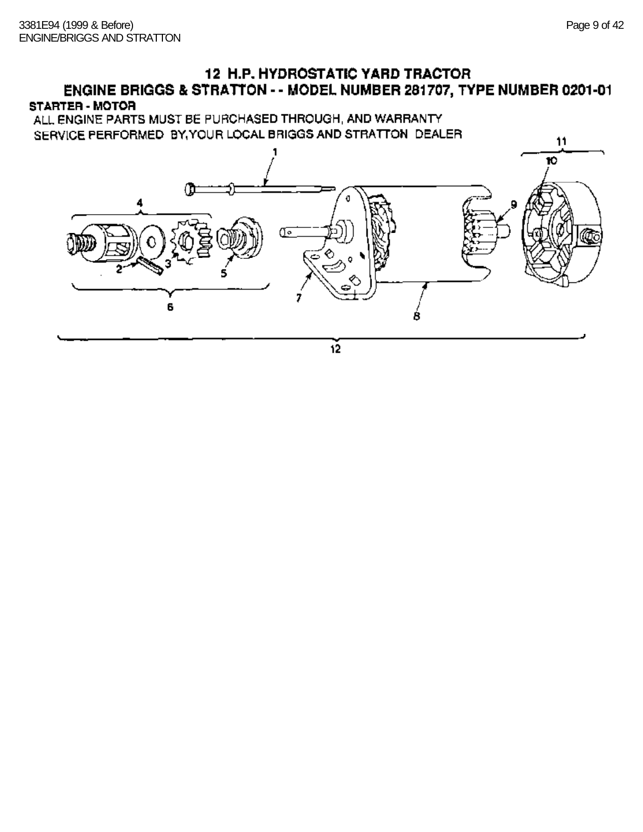## **12 H.P. HYDROSTATIC YARD TRACTOR** ENGINE BRIGGS & STRATTON - - MODEL NUMBER 281707, TYPE NUMBER 0201-01 STARTER - MOTOR

ALL ENGINE PARTS MUST BE PURCHASED THROUGH, AND WARRANTY SERVICE PERFORMED BY YOUR LOCAL BRIGGS AND STRATTON DEALER



 $12$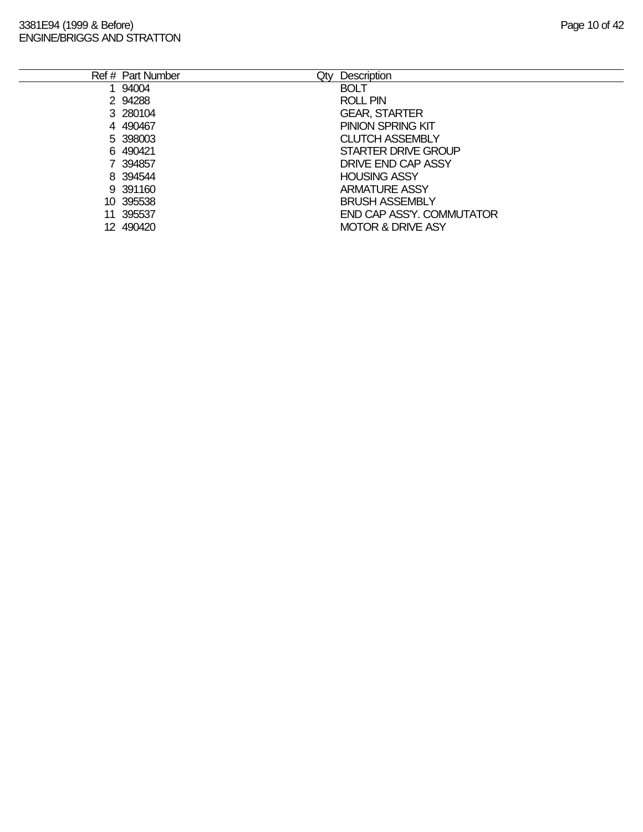#### 3381E94 (1999 & Before) **Page 10 of 42** ENGINE/BRIGGS AND STRATTON

| Page 10 of 4 |  |
|--------------|--|
|--------------|--|

| Ref # Part Number | Qtv | <b>Description</b>           |
|-------------------|-----|------------------------------|
| 1 94004           |     | <b>BOLT</b>                  |
| 2 94288           |     | <b>ROLL PIN</b>              |
| 3 280104          |     | <b>GEAR, STARTER</b>         |
| 4 490467          |     | <b>PINION SPRING KIT</b>     |
| 5 398003          |     | <b>CLUTCH ASSEMBLY</b>       |
| 6 490421          |     | STARTER DRIVE GROUP          |
| 7 394857          |     | DRIVE END CAP ASSY           |
| 8 394544          |     | <b>HOUSING ASSY</b>          |
| 9 391160          |     | <b>ARMATURE ASSY</b>         |
| 10 395538         |     | <b>BRUSH ASSEMBLY</b>        |
| 11 395537         |     | END CAP ASS'Y. COMMUTATOR    |
| 12 490420         |     | <b>MOTOR &amp; DRIVE ASY</b> |
|                   |     |                              |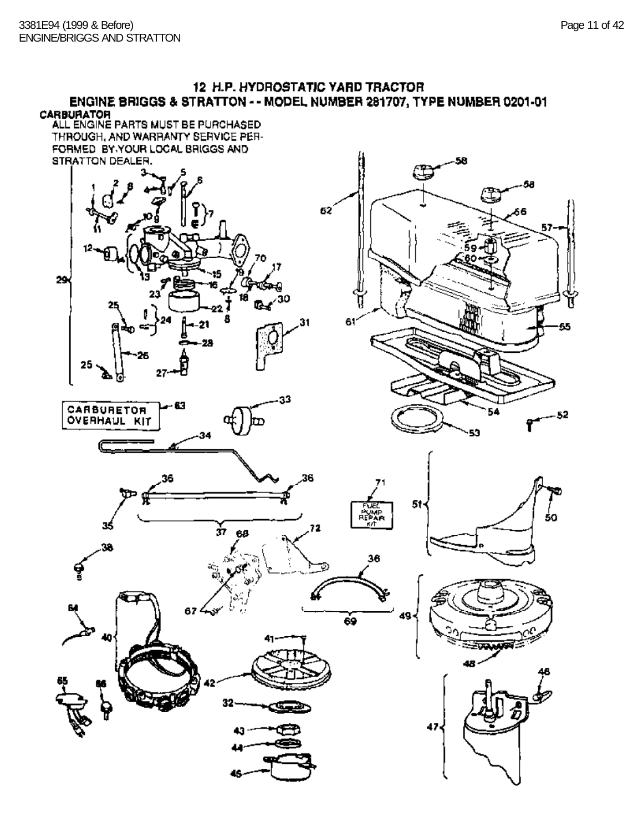#### 12 H.P. HYDROSTATIC YARD TRACTOR ENGINE BRIGGS & STRATTON - - MODEL NUMBER 281707, TYPE NUMBER 0201-01 **CARBURATOR**

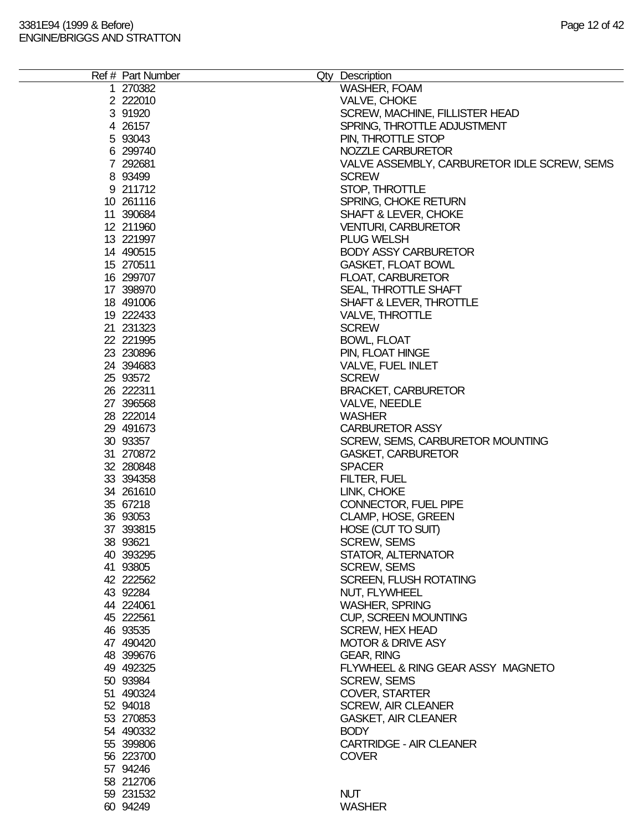| Ref # Part Number | Qty Description                             |
|-------------------|---------------------------------------------|
| 1 270382          | <b>WASHER, FOAM</b>                         |
| 2 222010          | VALVE, CHOKE                                |
|                   |                                             |
| 3 91920           | SCREW, MACHINE, FILLISTER HEAD              |
| 4 26157           | SPRING, THROTTLE ADJUSTMENT                 |
| 5 93043           | PIN, THROTTLE STOP                          |
| 6 299740          | NOZZLE CARBURETOR                           |
| 7 292681          | VALVE ASSEMBLY, CARBURETOR IDLE SCREW, SEMS |
| 8 93499           | <b>SCREW</b>                                |
| 9 211712          | STOP, THROTTLE                              |
| 10 261116         | SPRING, CHOKE RETURN                        |
| 11 390684         | SHAFT & LEVER, CHOKE                        |
| 12 211960         | <b>VENTURI, CARBURETOR</b>                  |
| 13 221997         | <b>PLUG WELSH</b>                           |
| 14 490515         | <b>BODY ASSY CARBURETOR</b>                 |
| 15 270511         | GASKET, FLOAT BOWL                          |
| 16 299707         | FLOAT, CARBURETOR                           |
| 17 398970         | SEAL, THROTTLE SHAFT                        |
| 18 491006         | SHAFT & LEVER, THROTTLE                     |
| 19 222433         | <b>VALVE, THROTTLE</b>                      |
|                   |                                             |
| 21 231323         | <b>SCREW</b>                                |
| 22 221995         | <b>BOWL, FLOAT</b>                          |
| 23 230896         | PIN, FLOAT HINGE                            |
| 24 394683         | <b>VALVE, FUEL INLET</b>                    |
| 25 93572          | <b>SCREW</b>                                |
| 26 222311         | <b>BRACKET, CARBURETOR</b>                  |
| 27 39 65 68       | <b>VALVE, NEEDLE</b>                        |
| 28 222014         | <b>WASHER</b>                               |
| 29 491673         | <b>CARBURETOR ASSY</b>                      |
| 30 93357          | SCREW, SEMS, CARBURETOR MOUNTING            |
| 31 270872         | <b>GASKET, CARBURETOR</b>                   |
| 32 280848         | <b>SPACER</b>                               |
| 33 394358         | FILTER, FUEL                                |
| 34 261610         | LINK, CHOKE                                 |
| 35 67218          | CONNECTOR, FUEL PIPE                        |
| 36 93053          | CLAMP, HOSE, GREEN                          |
| 37 393815         | HOSE (CUT TO SUIT)                          |
| 38 93621          | <b>SCREW, SEMS</b>                          |
| 40 393295         | STATOR, ALTERNATOR                          |
|                   |                                             |
| 41 93805          | <b>SCREW, SEMS</b>                          |
| 42 222562         | <b>SCREEN, FLUSH ROTATING</b>               |
| 43 92284          | NUT, FLYWHEEL                               |
| 44 224061         | <b>WASHER, SPRING</b>                       |
| 45 222561         | <b>CUP, SCREEN MOUNTING</b>                 |
| 46 93535          | <b>SCREW, HEX HEAD</b>                      |
| 47 490420         | <b>MOTOR &amp; DRIVE ASY</b>                |
| 48 399676         | <b>GEAR, RING</b>                           |
| 49 49 2325        | FLYWHEEL & RING GEAR ASSY MAGNETO           |
| 50 93984          | <b>SCREW, SEMS</b>                          |
| 51 490324         | <b>COVER, STARTER</b>                       |
| 52 94018          | <b>SCREW, AIR CLEANER</b>                   |
| 53 270853         | <b>GASKET, AIR CLEANER</b>                  |
| 54 490332         | <b>BODY</b>                                 |
| 55 399806         | <b>CARTRIDGE - AIR CLEANER</b>              |
| 56 223700         | <b>COVER</b>                                |
| 57 94246          |                                             |
|                   |                                             |
| 58 212706         |                                             |
| 59 231532         | <b>NUT</b>                                  |
| 60 94249          | <b>WASHER</b>                               |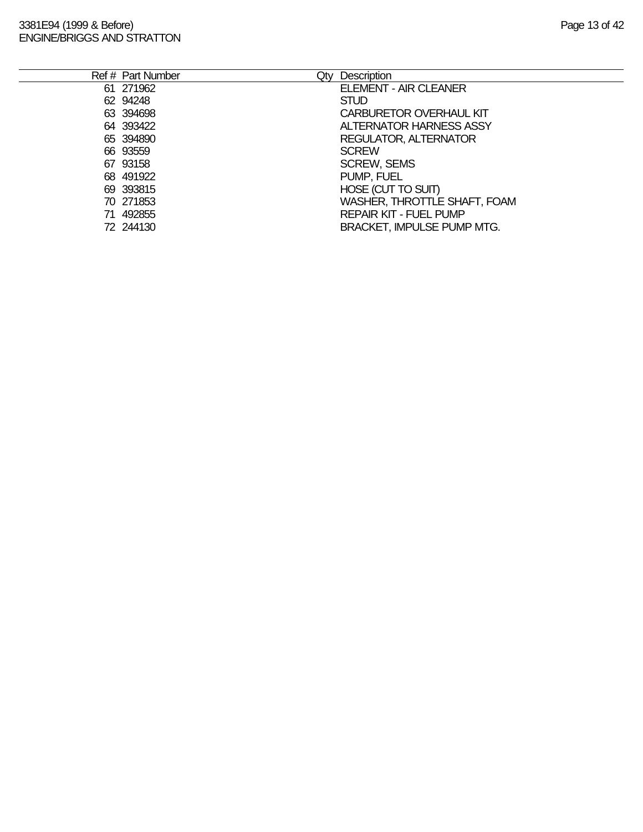| Ref # Part Number | Qtv | Description                       |
|-------------------|-----|-----------------------------------|
| 61 271962         |     | <b>ELEMENT - AIR CLEANER</b>      |
| 62 94248          |     | <b>STUD</b>                       |
| 63 394698         |     | <b>CARBURETOR OVERHAUL KIT</b>    |
| 64 393422         |     | <b>ALTERNATOR HARNESS ASSY</b>    |
| 65 394890         |     | REGULATOR, ALTERNATOR             |
| 66 93559          |     | <b>SCREW</b>                      |
| 67 93158          |     | <b>SCREW, SEMS</b>                |
| 68 491922         |     | PUMP, FUEL                        |
| 69 393815         |     | HOSE (CUT TO SUIT)                |
| 70 271853         |     | WASHER, THROTTLE SHAFT, FOAM      |
| 71 492855         |     | <b>REPAIR KIT - FUEL PUMP</b>     |
| 72 244130         |     | <b>BRACKET, IMPULSE PUMP MTG.</b> |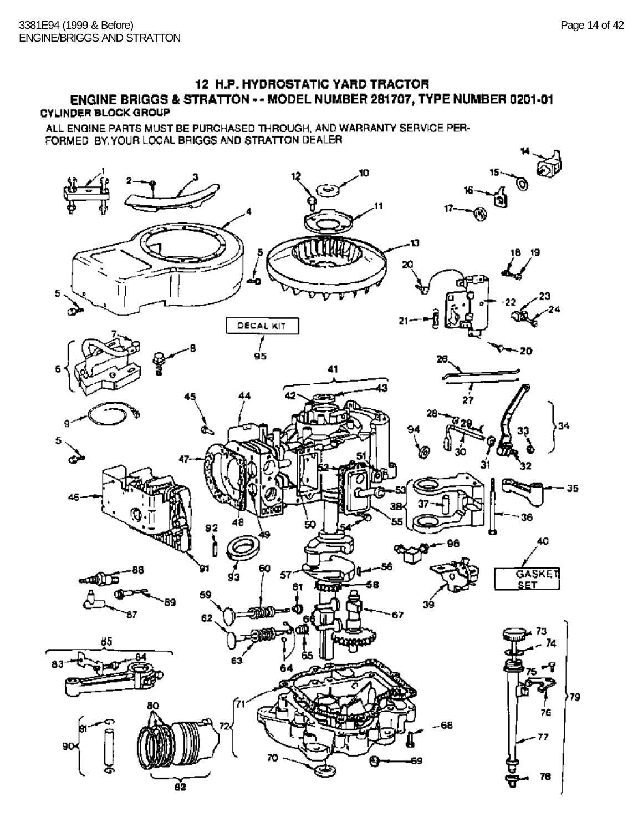# 12 H.P. HYDROSTATIC YARD TRACTOR ENGINE BRIGGS & STRATTON - - MODEL NUMBER 281707, TYPE NUMBER 0201-01

## **CYLINDER BLOCK GROUP**

ALL ENGINE PARTS MUST BE PURCHASED THROUGH, AND WARRANTY SERVICE PER-FORMED BY YOUR LOCAL BRIGGS AND STRATTON DEALER

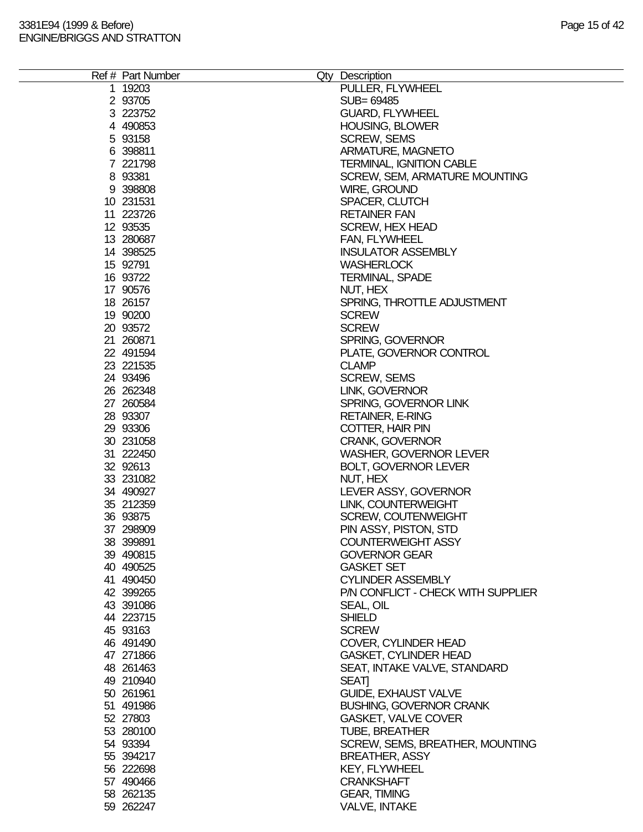|  | Ref # Part Number | Qty Description                    |
|--|-------------------|------------------------------------|
|  | 1 19203           | PULLER, FLYWHEEL                   |
|  | 2 93705           | SUB= 69485                         |
|  | 3 223752          | <b>GUARD, FLYWHEEL</b>             |
|  | 4 490853          | <b>HOUSING, BLOWER</b>             |
|  | 5 93158           | <b>SCREW, SEMS</b>                 |
|  | 6 398811          | ARMATURE, MAGNETO                  |
|  | 7 221798          | <b>TERMINAL, IGNITION CABLE</b>    |
|  | 8 93381           | SCREW, SEM, ARMATURE MOUNTING      |
|  | 9 398808          | WIRE, GROUND                       |
|  | 10 231531         | SPACER, CLUTCH                     |
|  | 11 223726         | <b>RETAINER FAN</b>                |
|  | 12 93535          | <b>SCREW, HEX HEAD</b>             |
|  | 13 280687         | FAN, FLYWHEEL                      |
|  | 14 398525         | <b>INSULATOR ASSEMBLY</b>          |
|  | 15 92791          | <b>WASHERLOCK</b>                  |
|  | 16 93722          | <b>TERMINAL, SPADE</b>             |
|  | 17 90576          | NUT, HEX                           |
|  | 18 26157          | SPRING, THROTTLE ADJUSTMENT        |
|  | 19 90200          | <b>SCREW</b>                       |
|  | 20 93572          | <b>SCREW</b>                       |
|  | 21 260871         | SPRING, GOVERNOR                   |
|  | 22 491594         | PLATE, GOVERNOR CONTROL            |
|  | 23 221535         | <b>CLAMP</b>                       |
|  | 24 93496          | <b>SCREW, SEMS</b>                 |
|  | 26 26 2348        | LINK, GOVERNOR                     |
|  | 27 260584         | SPRING, GOVERNOR LINK              |
|  | 28 93307          | <b>RETAINER, E-RING</b>            |
|  | 29 93306          | COTTER, HAIR PIN                   |
|  | 30 231058         | <b>CRANK, GOVERNOR</b>             |
|  | 31 222450         | <b>WASHER, GOVERNOR LEVER</b>      |
|  | 32 92613          | <b>BOLT, GOVERNOR LEVER</b>        |
|  | 33 231082         | NUT, HEX                           |
|  | 34 490927         | LEVER ASSY, GOVERNOR               |
|  | 35 212359         | LINK, COUNTERWEIGHT                |
|  | 36 93875          | <b>SCREW, COUTENWEIGHT</b>         |
|  | 37 298909         | PIN ASSY, PISTON, STD              |
|  | 38 399891         | <b>COUNTERWEIGHT ASSY</b>          |
|  | 39 490815         | <b>GOVERNOR GEAR</b>               |
|  | 40 490525         | <b>GASKET SET</b>                  |
|  | 41 490450         | <b>CYLINDER ASSEMBLY</b>           |
|  | 42 399265         | P/N CONFLICT - CHECK WITH SUPPLIER |
|  | 43 391086         | SEAL, OIL                          |
|  | 44 223715         | <b>SHIELD</b>                      |
|  | 45 93163          | <b>SCREW</b>                       |
|  | 46 491490         | COVER, CYLINDER HEAD               |
|  | 47 271866         | <b>GASKET, CYLINDER HEAD</b>       |
|  | 48 261463         | SEAT, INTAKE VALVE, STANDARD       |
|  | 49 210940         | <b>SEATI</b>                       |
|  | 50 261961         | <b>GUIDE, EXHAUST VALVE</b>        |
|  | 51 491986         | <b>BUSHING, GOVERNOR CRANK</b>     |
|  | 52 27803          | <b>GASKET, VALVE COVER</b>         |
|  | 53 280100         | <b>TUBE, BREATHER</b>              |
|  | 54 93394          | SCREW, SEMS, BREATHER, MOUNTING    |
|  | 55 394217         | <b>BREATHER, ASSY</b>              |
|  | 56 222698         | KEY, FLYWHEEL                      |
|  | 57 490466         | <b>CRANKSHAFT</b>                  |
|  | 58 262135         | <b>GEAR, TIMING</b>                |
|  | 59 262247         | <b>VALVE, INTAKE</b>               |
|  |                   |                                    |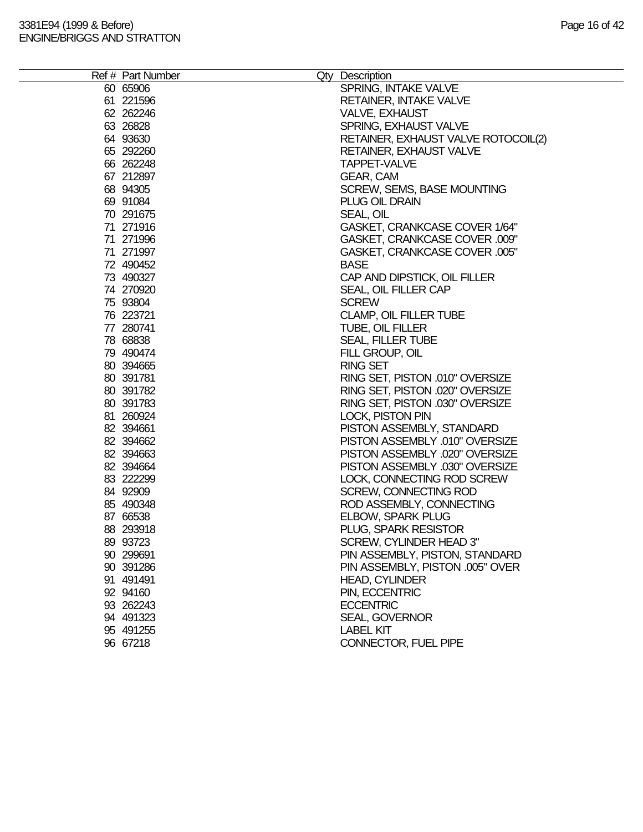| Ref # Part Number | Qty Description                     |
|-------------------|-------------------------------------|
| 60 65906          | SPRING, INTAKE VALVE                |
| 61 221596         | RETAINER, INTAKE VALVE              |
| 62 262246         | VALVE, EXHAUST                      |
| 63 26828          | SPRING, EXHAUST VALVE               |
|                   |                                     |
| 64 93630          | RETAINER, EXHAUST VALVE ROTOCOIL(2) |
| 65 292260         | <b>RETAINER, EXHAUST VALVE</b>      |
| 66 262248         | <b>TAPPET-VALVE</b>                 |
| 67 212897         | GEAR, CAM                           |
| 68 94305          | SCREW, SEMS, BASE MOUNTING          |
| 69 91084          | PLUG OIL DRAIN                      |
| 70 291675         | SEAL, OIL                           |
| 71 271916         | GASKET, CRANKCASE COVER 1/64"       |
| 71 271996         | GASKET, CRANKCASE COVER .009"       |
| 71 271997         | GASKET, CRANKCASE COVER .005"       |
| 72 490452         | <b>BASE</b>                         |
| 73 490327         | CAP AND DIPSTICK, OIL FILLER        |
| 74 270920         | SEAL, OIL FILLER CAP                |
| 75 93804          | <b>SCREW</b>                        |
| 76 223721         | CLAMP, OIL FILLER TUBE              |
| 77 280741         | TUBE, OIL FILLER                    |
| 78 68838          | <b>SEAL, FILLER TUBE</b>            |
| 79 490474         | FILL GROUP, OIL                     |
| 80 394665         | <b>RING SET</b>                     |
| 80 391781         | RING SET, PISTON .010" OVERSIZE     |
| 80 391782         | RING SET, PISTON .020" OVERSIZE     |
| 80 391783         | RING SET, PISTON .030" OVERSIZE     |
| 81 260924         | <b>LOCK, PISTON PIN</b>             |
| 82 394661         | PISTON ASSEMBLY, STANDARD           |
| 82 394662         | PISTON ASSEMBLY .010" OVERSIZE      |
|                   |                                     |
| 82 394663         | PISTON ASSEMBLY .020" OVERSIZE      |
| 82 394664         | PISTON ASSEMBLY .030" OVERSIZE      |
| 83 222299         | LOCK, CONNECTING ROD SCREW          |
| 84 92909          | <b>SCREW, CONNECTING ROD</b>        |
| 85 490348         | ROD ASSEMBLY, CONNECTING            |
| 87 66538          | <b>ELBOW, SPARK PLUG</b>            |
| 88 293918         | PLUG, SPARK RESISTOR                |
| 89 93723          | SCREW, CYLINDER HEAD 3"             |
| 90 299691         | PIN ASSEMBLY, PISTON, STANDARD      |
| 90 391286         | PIN ASSEMBLY, PISTON .005" OVER     |
| 91 491491         | <b>HEAD, CYLINDER</b>               |
| 92 94160          | PIN, ECCENTRIC                      |
| 93 262243         | <b>ECCENTRIC</b>                    |
| 94 491323         | <b>SEAL, GOVERNOR</b>               |
| 95 491255         | <b>LABEL KIT</b>                    |
| 96 67218          | CONNECTOR, FUEL PIPE                |
|                   |                                     |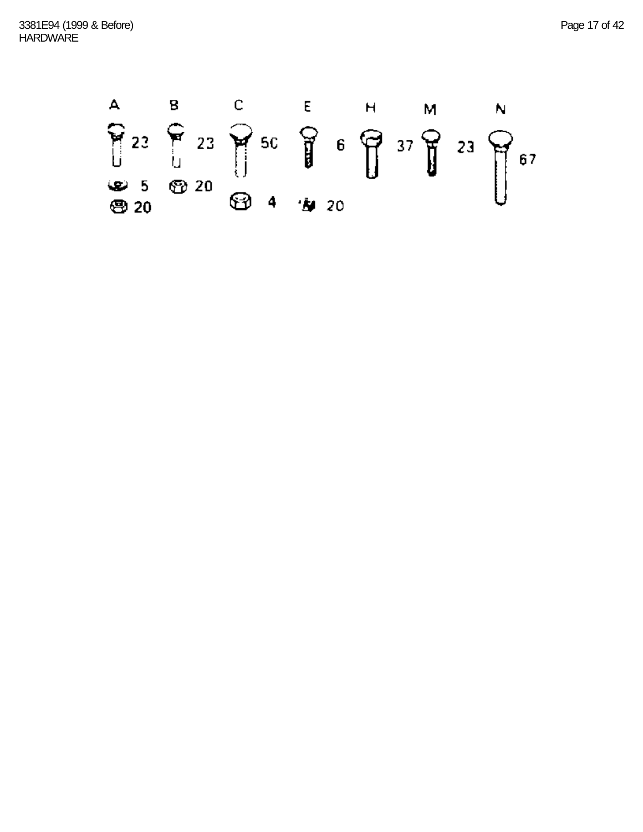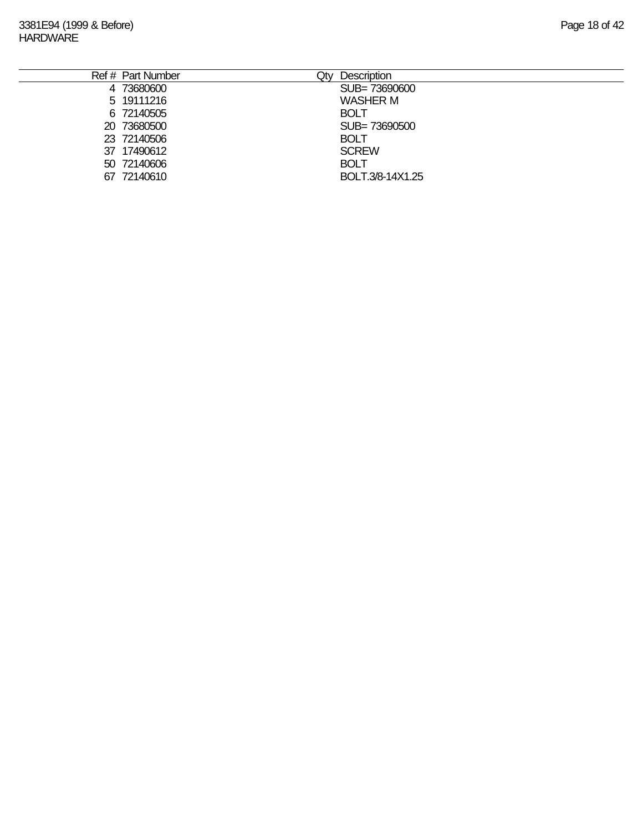| Ref # Part Number | <b>Description</b><br>Qty |
|-------------------|---------------------------|
| 4 73680600        | SUB=73690600              |
| 5 19111216        | <b>WASHER M</b>           |
| 6 72140505        | <b>BOLT</b>               |
| 20 73680500       | SUB=73690500              |
| 23 72140506       | <b>BOLT</b>               |
| 37 17490612       | <b>SCREW</b>              |
| 50 72140606       | <b>BOLT</b>               |
| 67 72140610       | BOLT.3/8-14X1.25          |
|                   |                           |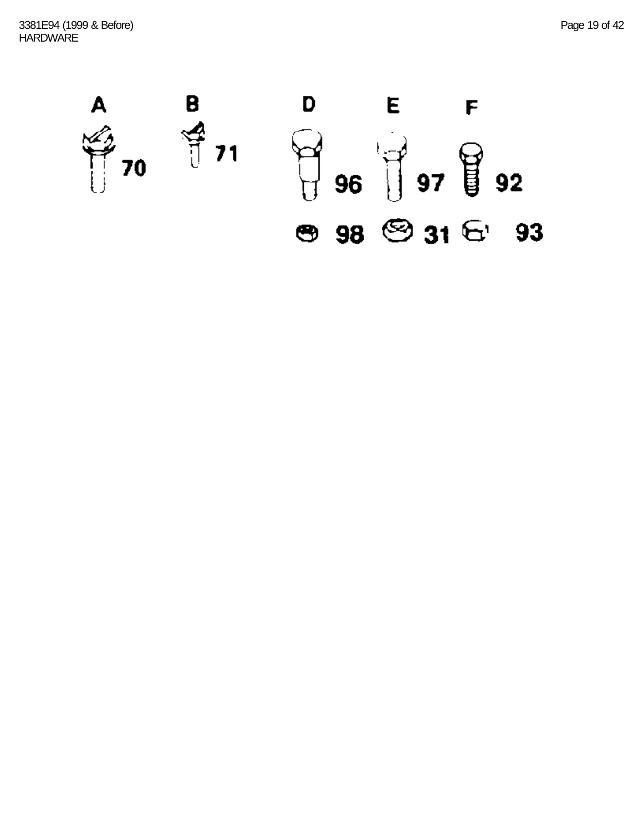3381E94 (1999 & Before) Page 19 of 42 **HARDWARE** 

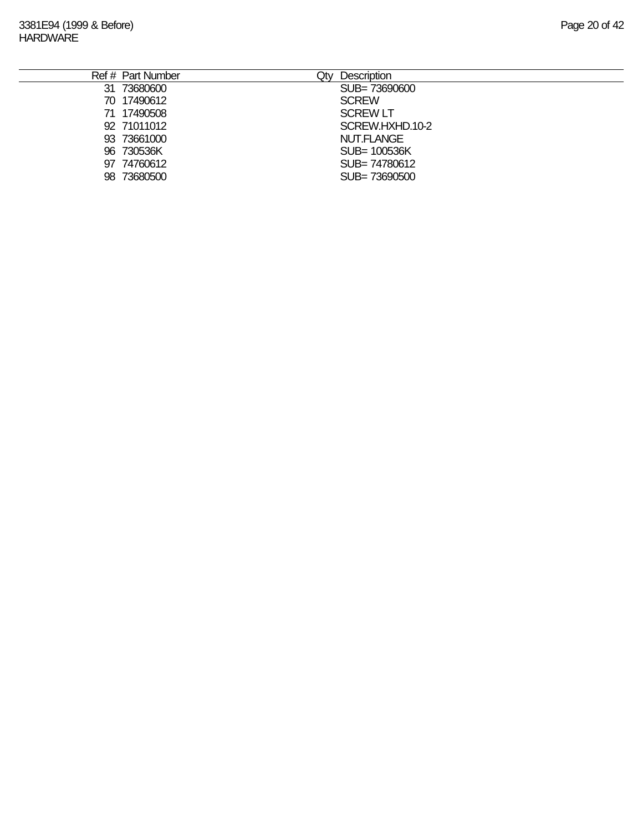| Ref # Part Number | Qty<br>Description |
|-------------------|--------------------|
| 31 73680600       | SUB=73690600       |
| 70 17490612       | <b>SCREW</b>       |
| 71 17490508       | <b>SCREW LT</b>    |
| 92 71011012       | SCREW.HXHD.10-2    |
| 93 73661000       | NUT.FLANGE         |
| 96 730536K        | SUB= 100536K       |
| 97 74760612       | SUB= 74780612      |
| 98 73680500       | SUB= 73690500      |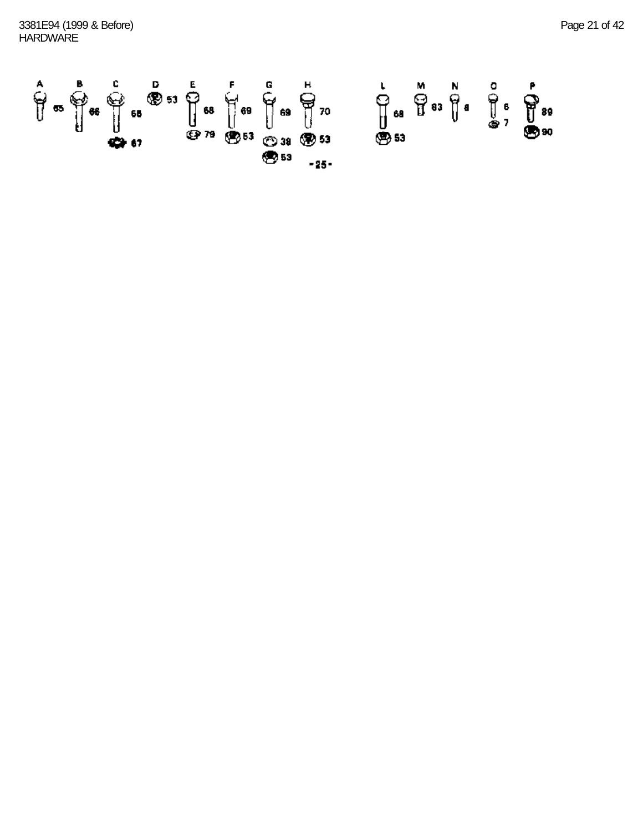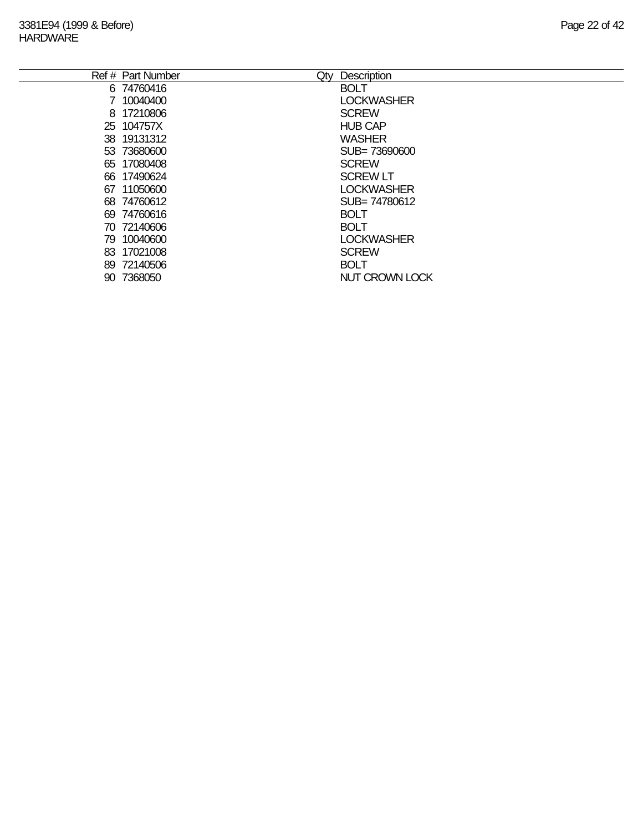|     | Ref # Part Number | Description<br>Qty |
|-----|-------------------|--------------------|
|     | 6 74760416        | <b>BOLT</b>        |
|     | 7 10040400        | <b>LOCKWASHER</b>  |
|     | 8 17210806        | <b>SCREW</b>       |
|     | 25 104757X        | <b>HUB CAP</b>     |
|     | 38 19131312       | <b>WASHER</b>      |
|     | 53 73680600       | SUB= 73690600      |
|     | 65 17080408       | <b>SCREW</b>       |
|     | 66 17490624       | <b>SCREW LT</b>    |
| 67  | 11050600          | <b>LOCKWASHER</b>  |
|     | 68 74760612       | SUB= 74780612      |
|     | 69 74760616       | <b>BOLT</b>        |
|     | 70 72140606       | <b>BOLT</b>        |
|     | 79 10040600       | <b>LOCKWASHER</b>  |
|     | 83 17021008       | <b>SCREW</b>       |
|     | 89 72140506       | <b>BOLT</b>        |
| 90. | 7368050           | NUT CROWN LOCK     |
|     |                   |                    |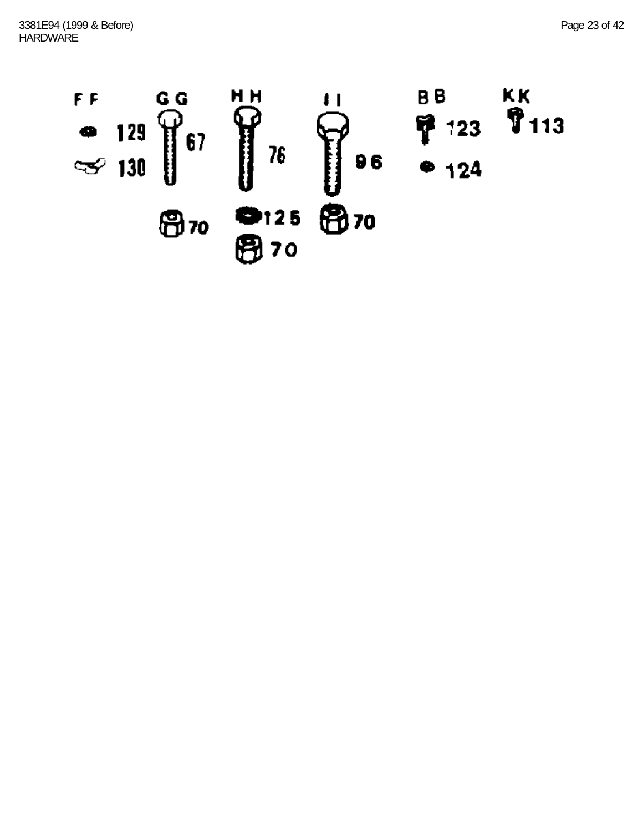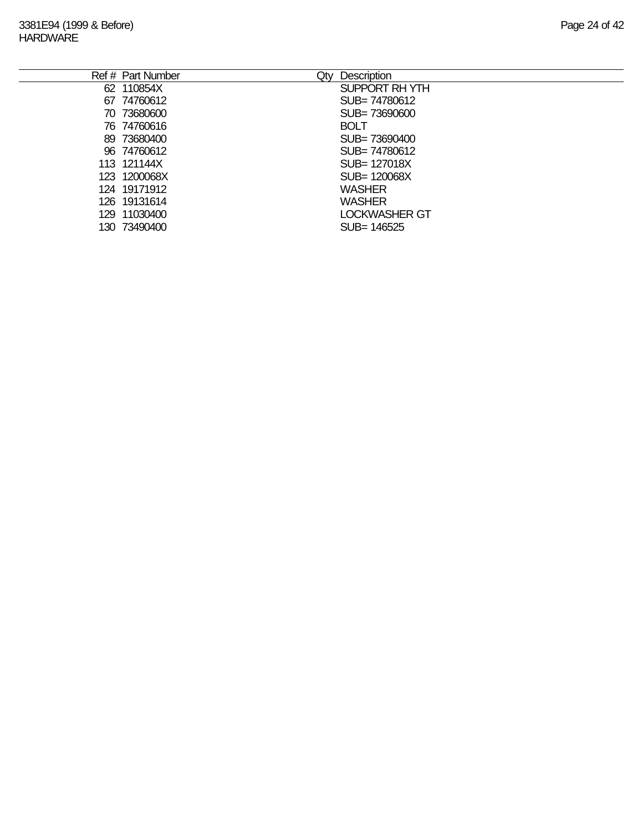| Ref # Part Number<br>Qty | Description          |
|--------------------------|----------------------|
| 62 110854X               | SUPPORT RH YTH       |
| 67 74760612              | SUB= 74780612        |
| 70 73680600              | SUB= 73690600        |
| 76 74760616              | <b>BOLT</b>          |
| 89 73680400              | SUB= 73690400        |
| 96 74760612              | SUB= 74780612        |
| 113 121144X              | SUB= 127018X         |
| 123 1200068X             | SUB= 120068X         |
| 124 19171912             | <b>WASHER</b>        |
| 126 19131614             | <b>WASHER</b>        |
| 129 11030400             | <b>LOCKWASHER GT</b> |
| 130 73490400             | SUB= 146525          |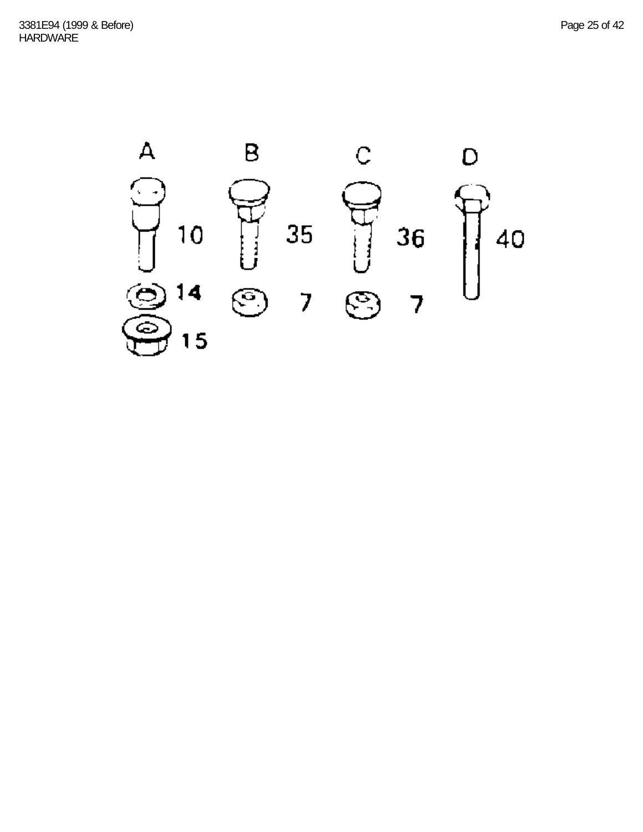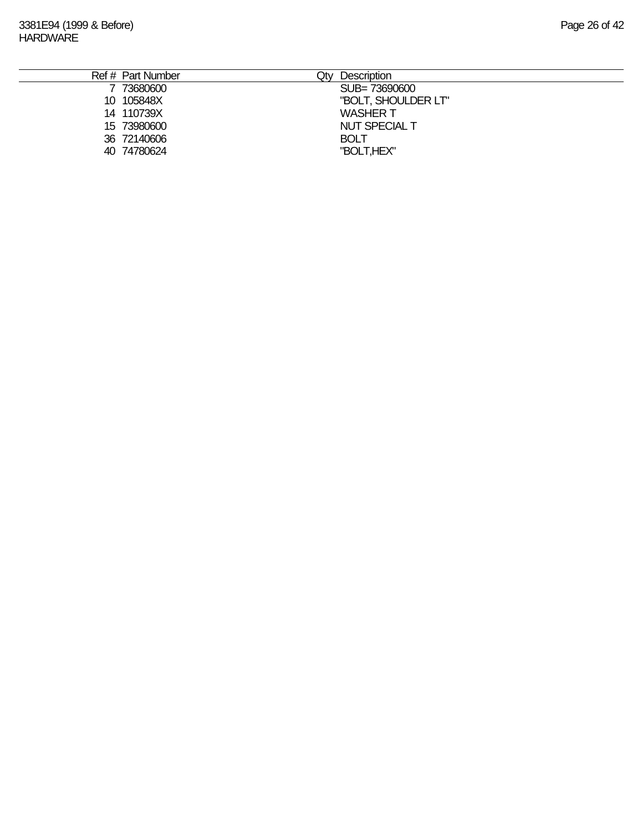| Ref # Part Number | Description<br>Qty   |
|-------------------|----------------------|
| 73680600          | SUB= 73690600        |
| 10 105848X        | "BOLT, SHOULDER LT"  |
| 14 110739X        | <b>WASHER T</b>      |
| 15 73980600       | <b>NUT SPECIAL T</b> |
| 36 72140606       | <b>BOLT</b>          |
| 40 74780624       | "BOLT,HEX"           |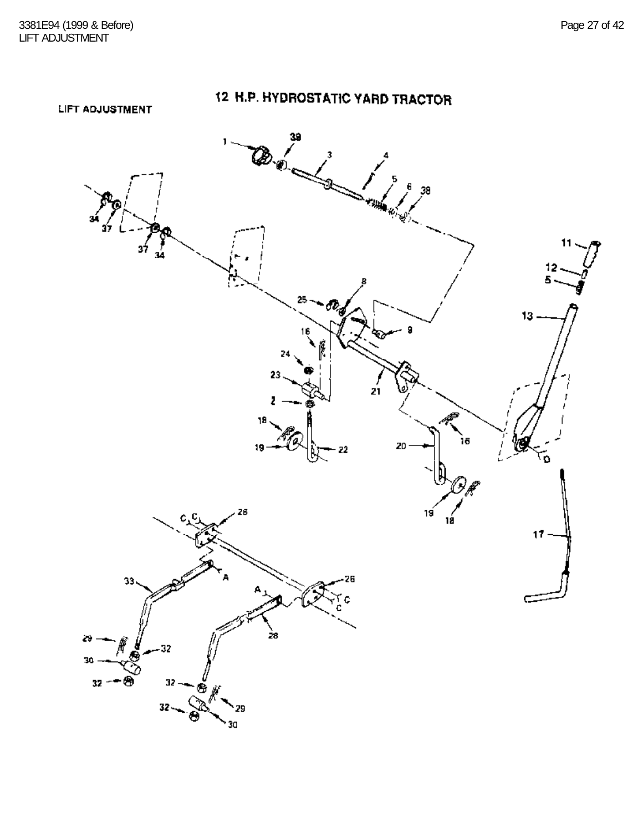LIFT ADJUSTMENT

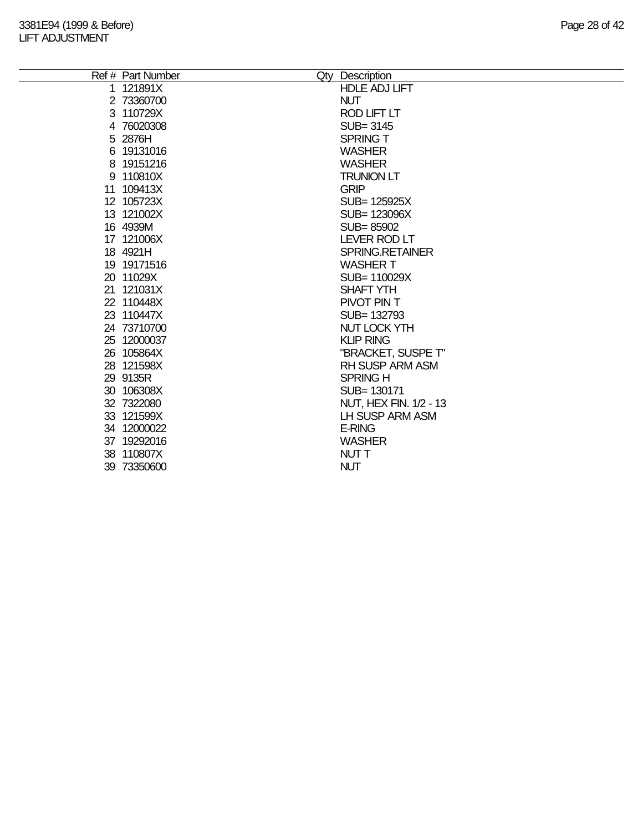| Ref # Part Number | Qty Description        |
|-------------------|------------------------|
| 1 121891X         | <b>HDLE ADJ LIFT</b>   |
| 2 73360700        | <b>NUT</b>             |
| 3 110729X         | <b>ROD LIFT LT</b>     |
| 4 76020308        | SUB=3145               |
| 5 2876H           | <b>SPRING T</b>        |
| 6 19131016        | <b>WASHER</b>          |
| 8 19151216        | <b>WASHER</b>          |
| 9 110810X         | <b>TRUNION LT</b>      |
| 11 109413X        | <b>GRIP</b>            |
| 12 105723X        | SUB= 125925X           |
| 13 121002X        | SUB= 123096X           |
| 16 4939M          | SUB=85902              |
| 17 121006X        | <b>LEVER ROD LT</b>    |
| 18 4921H          | <b>SPRING.RETAINER</b> |
| 19 19171516       | <b>WASHER T</b>        |
| 20 11029X         | SUB= 110029X           |
| 21 121031X        | <b>SHAFT YTH</b>       |
| 22 110448X        | PIVOT PIN T            |
| 23 110447X        | SUB= 132793            |
| 24 73710700       | <b>NUT LOCK YTH</b>    |
| 25 12000037       | <b>KLIP RING</b>       |
| 26 105864X        | "BRACKET, SUSPE T"     |
| 28 121598X        | <b>RH SUSP ARM ASM</b> |
| 29 9135R          | <b>SPRING H</b>        |
| 30 106308X        | SUB=130171             |
| 32 7322080        | NUT, HEX FIN. 1/2 - 13 |
| 33 121599X        | LH SUSP ARM ASM        |
| 34 12000022       | <b>E-RING</b>          |
| 37 19292016       | <b>WASHER</b>          |
| 38 110807X        | <b>NUTT</b>            |
| 39 73350600       | <b>NUT</b>             |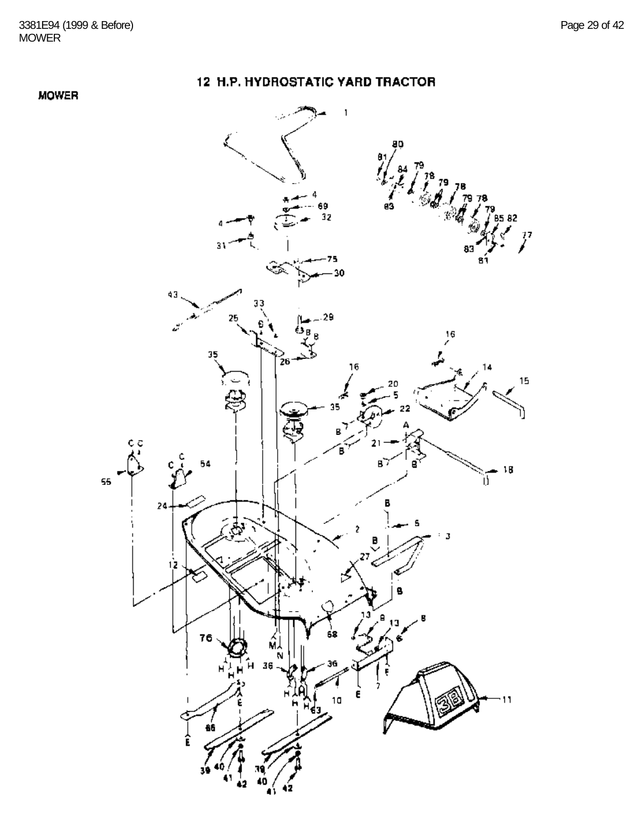#### **MOWER**

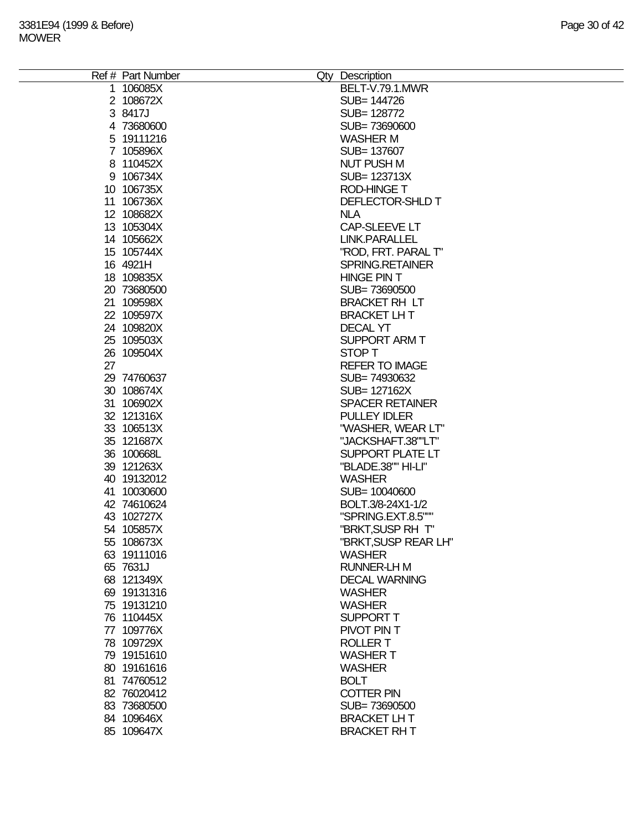|    | Ref # Part Number | Qty Description        |
|----|-------------------|------------------------|
|    | 1 106085X         | BELT-V.79.1.MWR        |
|    | 2 108672X         | SUB= 144726            |
|    | 3 8417J           | SUB= 128772            |
|    | 4 73680600        | SUB=73690600           |
|    | 5 19111216        | <b>WASHER M</b>        |
|    | 7 105896X         | SUB= 137607            |
|    | 8 110452X         | <b>NUT PUSH M</b>      |
|    | 9 106734X         | SUB= 123713X           |
|    | 10 106735X        | <b>ROD-HINGE T</b>     |
|    | 11 106736X        | DEFLECTOR-SHLD T       |
|    | 12 108682X        | <b>NLA</b>             |
|    | 13 105304X        | CAP-SLEEVE LT          |
|    | 14 105662X        | <b>LINK.PARALLEL</b>   |
|    | 15 105744X        | "ROD, FRT. PARAL T"    |
|    | 16 4921H          | SPRING.RETAINER        |
|    | 18 109835X        | <b>HINGE PIN T</b>     |
|    | 20 73680500       | SUB=73690500           |
|    | 21 109598X        | <b>BRACKET RH LT</b>   |
|    | 22 109597X        | <b>BRACKET LHT</b>     |
|    | 24 109820X        | <b>DECAL YT</b>        |
|    |                   |                        |
|    | 25 109503X        | <b>SUPPORT ARM T</b>   |
|    | 26 109504X        | STOP T                 |
| 27 |                   | <b>REFER TO IMAGE</b>  |
|    | 29 74760637       | SUB=74930632           |
|    | 30 108674X        | SUB= 127162X           |
|    | 31 106902X        | <b>SPACER RETAINER</b> |
|    | 32 121316X        | <b>PULLEY IDLER</b>    |
|    | 33 106513X        | "WASHER, WEAR LT"      |
|    | 35 121687X        | "JACKSHAFT.38""LT"     |
|    | 36 100668L        | SUPPORT PLATE LT       |
|    | 39 121263X        | "BLADE.38"" HI-LI"     |
|    | 40 19132012       | <b>WASHER</b>          |
|    | 41 10030600       | SUB= 10040600          |
|    | 42 74610624       | BOLT.3/8-24X1-1/2      |
|    | 43 102727X        | "SPRING.EXT.8.5"""     |
|    | 54 105857X        | "BRKT, SUSP RH T"      |
|    | 55 108673X        | "BRKT, SUSP REAR LH"   |
|    | 63 19111016       | <b>WASHER</b>          |
|    | 65 7631J          | <b>RUNNER-LH M</b>     |
|    | 68 121349X        | <b>DECAL WARNING</b>   |
|    | 69 19131316       | <b>WASHER</b>          |
|    | 75 19131210       | <b>WASHER</b>          |
|    | 76 110445X        | <b>SUPPORT T</b>       |
|    | 77 109776X        | PIVOT PIN T            |
|    | 78 109729X        | <b>ROLLER T</b>        |
|    | 79 19151610       | <b>WASHER T</b>        |
|    | 80 19161616       | <b>WASHER</b>          |
|    | 81 74760512       | <b>BOLT</b>            |
|    | 82 76020412       | <b>COTTER PIN</b>      |
|    | 83 73680500       | SUB=73690500           |
|    | 84 109646X        | <b>BRACKET LH T</b>    |
|    |                   |                        |
|    | 85 109647X        | <b>BRACKET RHT</b>     |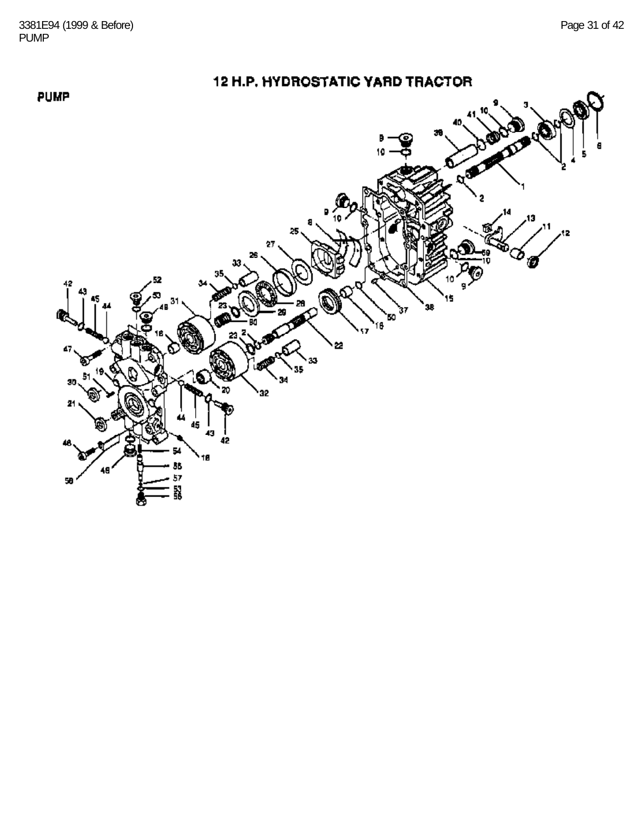PUMP

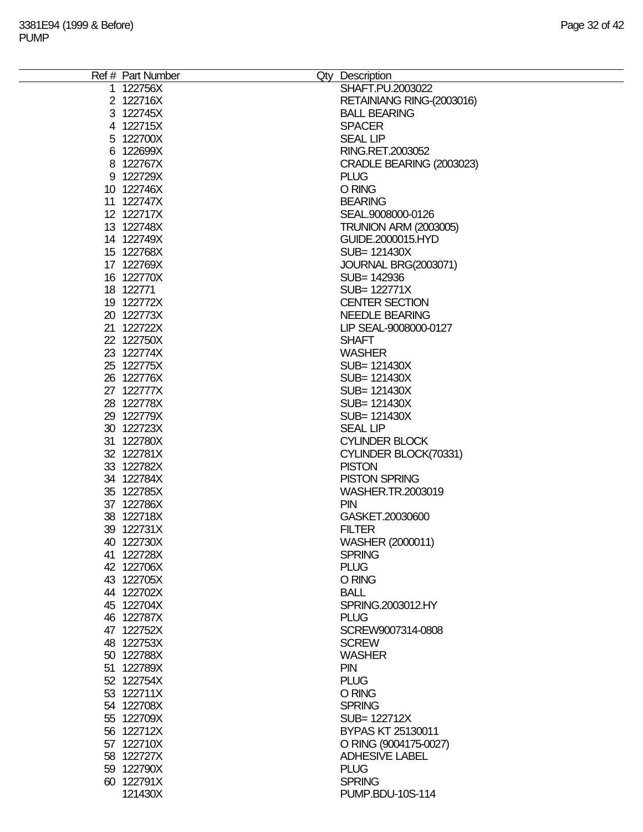| Ref # Part Number | Qty Description              |
|-------------------|------------------------------|
| 1 122756X         | SHAFT.PU.2003022             |
| 2 122716X         | RETAINIANG RING-(2003016)    |
| 3 122745X         | <b>BALL BEARING</b>          |
| 4 122715X         | <b>SPACER</b>                |
| 5 122700X         | <b>SEAL LIP</b>              |
| 6 122699X         | RING.RET.2003052             |
| 8 122767X         | CRADLE BEARING (2003023)     |
| 9 122729X         | <b>PLUG</b>                  |
| 10 122746X        | O RING                       |
| 11 122747X        | <b>BEARING</b>               |
|                   |                              |
| 12 122717X        | SEAL.9008000-0126            |
| 13 122748X        | <b>TRUNION ARM (2003005)</b> |
| 14 122749X        | GUIDE.2000015.HYD            |
| 15 122768X        | SUB= 121430X                 |
| 17 122769X        | <b>JOURNAL BRG(2003071)</b>  |
| 16 122770X        | SUB= 142936                  |
| 18 122771         | SUB= 122771X                 |
| 19 122772X        | <b>CENTER SECTION</b>        |
| 20 122773X        | <b>NEEDLE BEARING</b>        |
| 21 122722X        | LIP SEAL-9008000-0127        |
| 22 122750X        | <b>SHAFT</b>                 |
| 23 122774X        | <b>WASHER</b>                |
| 25 122775X        | SUB= 121430X                 |
| 26 122776X        | SUB= 121430X                 |
| 27 122777X        | SUB= 121430X                 |
| 28 122778X        | SUB= 121430X                 |
| 29 122779X        | SUB= 121430X                 |
| 30 122723X        | <b>SEAL LIP</b>              |
|                   |                              |
| 31 122780X        | <b>CYLINDER BLOCK</b>        |
| 32 122781X        | CYLINDER BLOCK(70331)        |
| 33 122782X        | <b>PISTON</b>                |
| 34 122784X        | <b>PISTON SPRING</b>         |
| 35 122785X        | WASHER.TR.2003019            |
| 37 122786X        | <b>PIN</b>                   |
| 38 122718X        | GASKET.20030600              |
| 39 122731X        | <b>FILTER</b>                |
| 40 122730X        | WASHER (2000011)             |
| 41 122728X        | <b>SPRING</b>                |
| 42 122706X        | <b>PLUG</b>                  |
| 43 122705X        | O RING                       |
| 44 122702X        | <b>BALL</b>                  |
| 45 122704X        | SPRING.2003012.HY            |
| 46 122787X        | <b>PLUG</b>                  |
| 47 122752X        | SCREW9007314-0808            |
| 48 122753X        | <b>SCREW</b>                 |
| 50 122788X        | <b>WASHER</b>                |
| 51 122789X        | <b>PIN</b>                   |
| 52 122754X        | <b>PLUG</b>                  |
| 53 122711X        | O RING                       |
| 54 122708X        | <b>SPRING</b>                |
|                   |                              |
| 55 122709X        | SUB= 122712X                 |
| 56 122712X        | BYPAS KT 25130011            |
| 57 122710X        | O RING (9004175-0027)        |
| 58 122727X        | <b>ADHESIVE LABEL</b>        |
| 59 122790X        | <b>PLUG</b>                  |
| 60 122791X        | <b>SPRING</b>                |
| 121430X           | PUMP.BDU-10S-114             |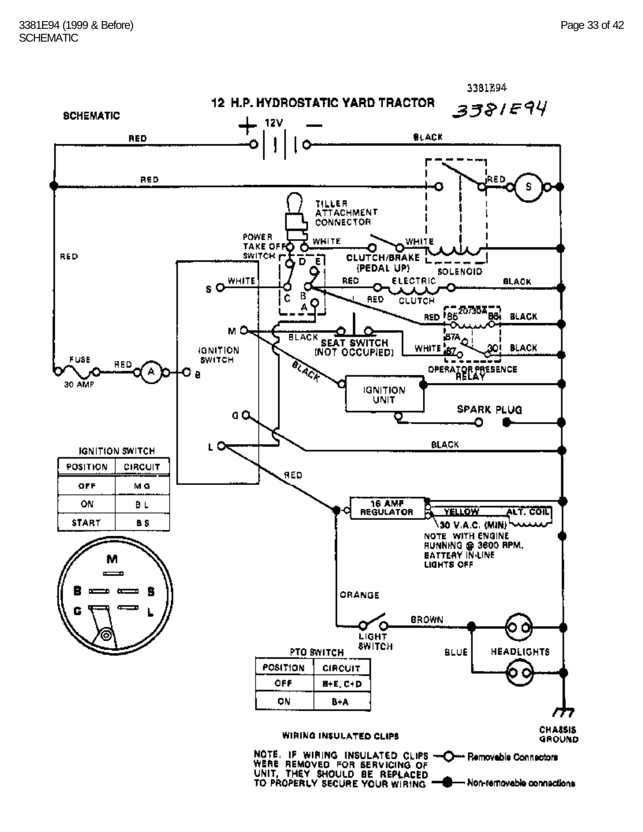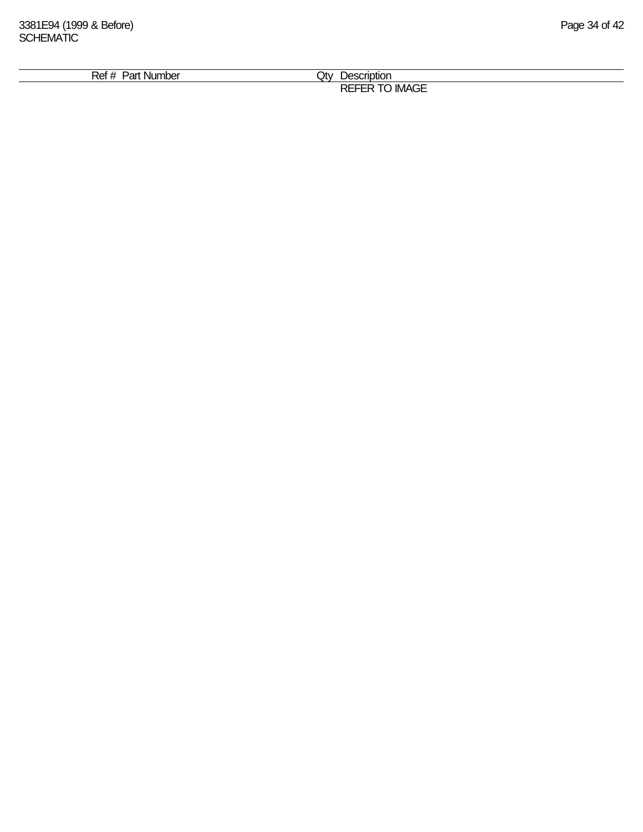| ⊃^+<br>                   |                         |  |
|---------------------------|-------------------------|--|
| Nur<br>nbei<br>ʻan<br>וטר | Jt∨<br>عمر<br>энс<br>UΙ |  |
|                           | $-$<br>DЕ               |  |
|                           | IMA<br>∿⊏<br>∼          |  |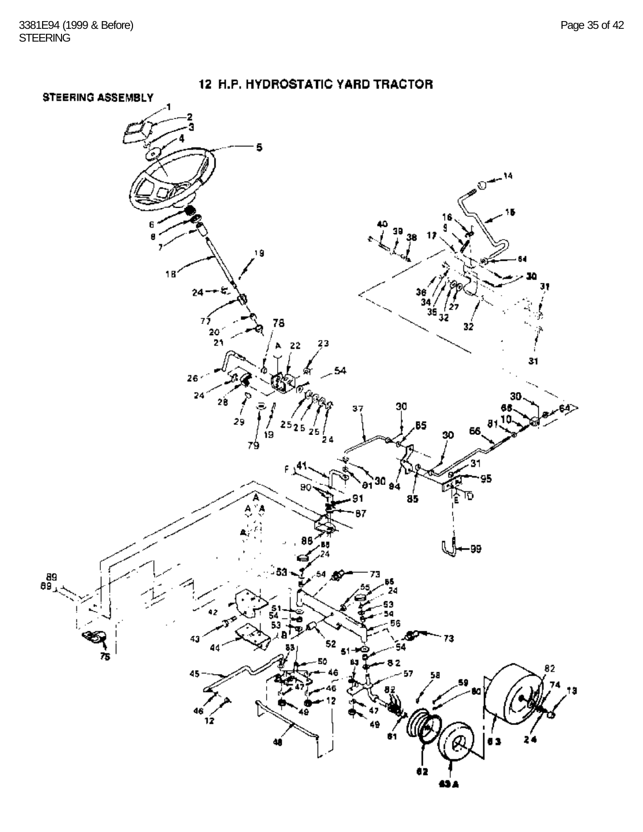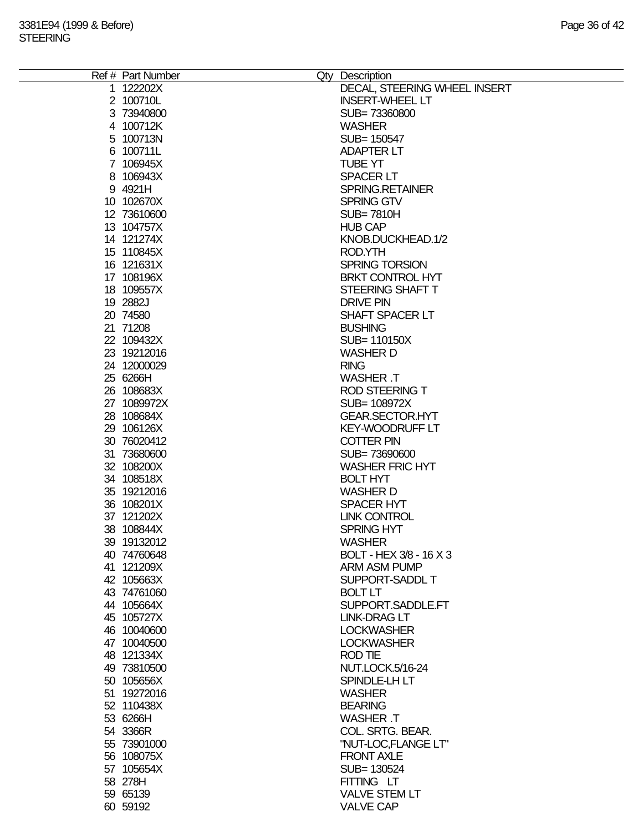| Ref # Part Number | Qty Description              |
|-------------------|------------------------------|
| 1 122202X         | DECAL, STEERING WHEEL INSERT |
| 2 100710L         | <b>INSERT-WHEEL LT</b>       |
| 3 73940800        | SUB=73360800                 |
|                   |                              |
| 4 100712K         | <b>WASHER</b>                |
| 5 100713N         | SUB= 150547                  |
| 6 100711L         | <b>ADAPTER LT</b>            |
| 7 106945X         | <b>TUBE YT</b>               |
| 8 106943X         | <b>SPACER LT</b>             |
| 9 4921H           | SPRING.RETAINER              |
| 10 102670X        | <b>SPRING GTV</b>            |
| 12 73610600       | <b>SUB=7810H</b>             |
|                   |                              |
| 13 104757X        | <b>HUB CAP</b>               |
| 14 121274X        | KNOB.DUCKHEAD.1/2            |
| 15 110845X        | ROD.YTH                      |
| 16 121631X        | SPRING TORSION               |
| 17 108196X        | <b>BRKT CONTROL HYT</b>      |
| 18 109557X        | STEERING SHAFT T             |
| 19 2882J          | <b>DRIVE PIN</b>             |
| 20 74580          | SHAFT SPACER LT              |
|                   |                              |
| 21 71208          | <b>BUSHING</b>               |
| 22 109432X        | SUB= 110150X                 |
| 23 19212016       | <b>WASHER D</b>              |
| 24 12000029       | <b>RING</b>                  |
| 25 6266H          | <b>WASHER T</b>              |
| 26 108683X        | <b>ROD STEERING T</b>        |
| 27 1089972X       | SUB= 108972X                 |
| 28 108684X        | <b>GEAR.SECTOR.HYT</b>       |
|                   |                              |
| 29 106126X        | <b>KEY-WOODRUFF LT</b>       |
| 30 76020412       | <b>COTTER PIN</b>            |
| 31 73680600       | SUB=73690600                 |
| 32 108200X        | <b>WASHER FRIC HYT</b>       |
| 34 108518X        | <b>BOLT HYT</b>              |
| 35 19212016       | <b>WASHER D</b>              |
| 36 108201X        | <b>SPACER HYT</b>            |
| 37 121202X        | <b>LINK CONTROL</b>          |
| 38 108844X        | <b>SPRING HYT</b>            |
|                   |                              |
| 39 19132012       | <b>WASHER</b>                |
| 40 74760648       | BOLT - HEX 3/8 - 16 X 3      |
| 41 121209X        | <b>ARM ASM PUMP</b>          |
| 42 105663X        | SUPPORT-SADDL T              |
| 43 74761060       | <b>BOLT LT</b>               |
| 44 105664X        | SUPPORT.SADDLE.FT            |
| 45 105727X        | <b>LINK-DRAG LT</b>          |
| 46 10040600       | <b>LOCKWASHER</b>            |
|                   | <b>LOCKWASHER</b>            |
| 47 10040500       |                              |
| 48 121334X        | <b>ROD TIE</b>               |
| 49 73810500       | <b>NUT.LOCK.5/16-24</b>      |
| 50 105656X        | SPINDLE-LH LT                |
| 51 19272016       | <b>WASHER</b>                |
| 52 110438X        | <b>BEARING</b>               |
| 53 6266H          | <b>WASHER T</b>              |
| 54 3366R          | COL. SRTG. BEAR.             |
|                   |                              |
| 55 73901000       | "NUT-LOC,FLANGE LT"          |
| 56 108075X        | <b>FRONT AXLE</b>            |
| 57 105654X        | SUB= 130524                  |
| 58 278H           | FITTING LT                   |
| 59 65139          | <b>VALVE STEM LT</b>         |
| 60 59192          | <b>VALVE CAP</b>             |
|                   |                              |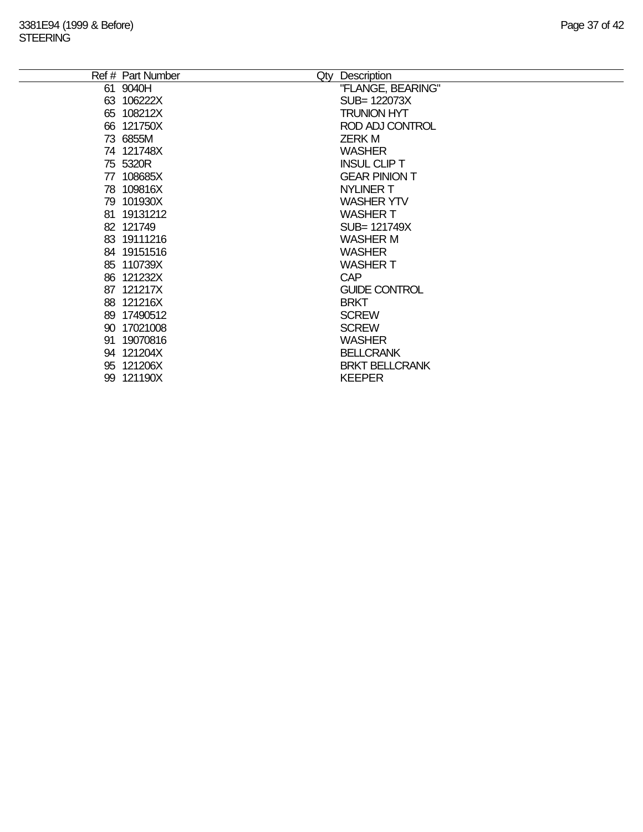| Ref # Part Number | Qty | Description           |
|-------------------|-----|-----------------------|
| 61 9040H          |     | "FLANGE, BEARING"     |
| 63 106222X        |     | SUB= 122073X          |
| 65 108212X        |     | <b>TRUNION HYT</b>    |
| 66 121750X        |     | ROD ADJ CONTROL       |
| 73 6855M          |     | <b>ZERKM</b>          |
| 74 121748X        |     | <b>WASHER</b>         |
| 75 5320R          |     | <b>INSUL CLIP T</b>   |
| 77 108685X        |     | <b>GEAR PINION T</b>  |
| 78 109816X        |     | <b>NYLINER T</b>      |
| 79 101930X        |     | <b>WASHER YTV</b>     |
| 81 19131212       |     | <b>WASHERT</b>        |
| 82 121749         |     | SUB= 121749X          |
| 83 19111216       |     | <b>WASHER M</b>       |
| 84 19151516       |     | <b>WASHER</b>         |
| 85 110739X        |     | <b>WASHERT</b>        |
| 86 121232X        |     | <b>CAP</b>            |
| 87 121217X        |     | <b>GUIDE CONTROL</b>  |
| 88 121216X        |     | <b>BRKT</b>           |
| 89 17490512       |     | <b>SCREW</b>          |
| 90 17021008       |     | <b>SCREW</b>          |
| 91 19070816       |     | <b>WASHER</b>         |
| 94 121204X        |     | <b>BELLCRANK</b>      |
| 95 121206X        |     | <b>BRKT BELLCRANK</b> |
| 99 121190X        |     | <b>KEEPER</b>         |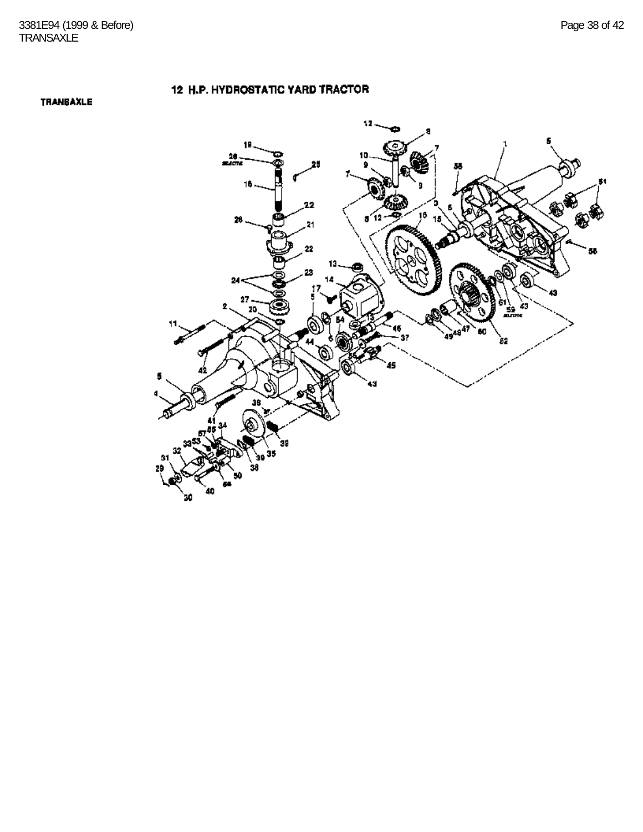TRANBAXLE

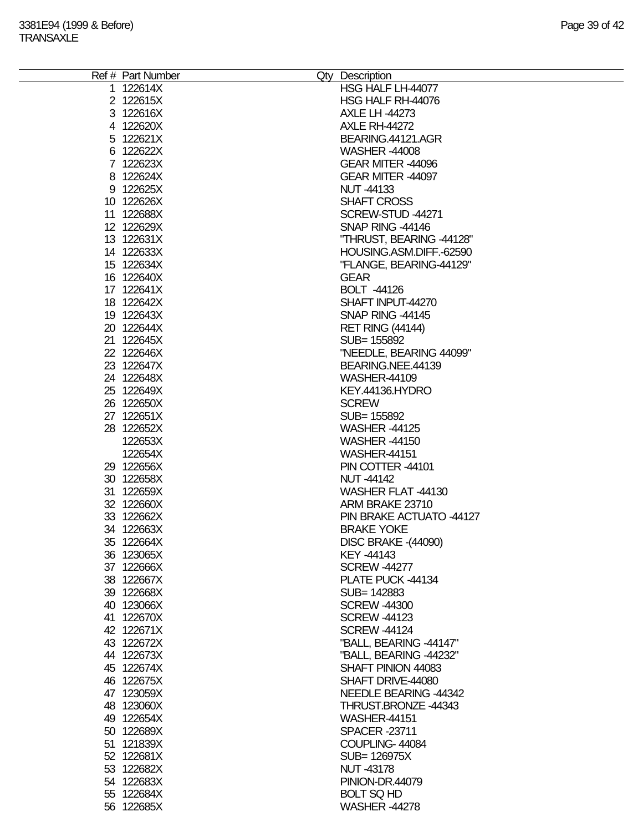| Ref # Part Number | Qty Description            |
|-------------------|----------------------------|
| 1 122614X         | HSG HALF LH-44077          |
| 2 122615X         | HSG HALF RH-44076          |
| 3 122616X         | <b>AXLE LH -44273</b>      |
| 4 122620X         | <b>AXLE RH-44272</b>       |
|                   |                            |
| 5 122621X         | BEARING.44121.AGR          |
| 6 122622X         | <b>WASHER -44008</b>       |
| 7 122623X         | GEAR MITER -44096          |
| 8 122624X         | GEAR MITER -44097          |
| 9 122625X         | <b>NUT-44133</b>           |
| 10 122626X        | <b>SHAFT CROSS</b>         |
| 11 122688X        | SCREW-STUD -44271          |
| 12 122629X        | SNAP RING -44146           |
| 13 122631X        | "THRUST, BEARING -44128"   |
| 14 122633X        | HOUSING.ASM.DIFF.-62590    |
|                   |                            |
| 15 122634X        | "FLANGE, BEARING-44129"    |
| 16 122640X        | <b>GEAR</b>                |
| 17 122641X        | <b>BOLT -44126</b>         |
| 18 122642X        | SHAFT INPUT-44270          |
| 19 122643X        | SNAP RING -44145           |
| 20 122644X        | <b>RET RING (44144)</b>    |
| 21 122645X        | SUB= 155892                |
| 22 122646X        | "NEEDLE, BEARING 44099"    |
| 23 122647X        | BEARING.NEE.44139          |
| 24 122648X        | <b>WASHER-44109</b>        |
|                   |                            |
| 25 122649X        | KEY.44136.HYDRO            |
| 26 122650X        | <b>SCREW</b>               |
| 27 122651X        | SUB= 155892                |
| 28 122652X        | <b>WASHER -44125</b>       |
| 122653X           | <b>WASHER -44150</b>       |
| 122654X           | <b>WASHER-44151</b>        |
| 29 122656X        | PIN COTTER -44101          |
| 30 122658X        | <b>NUT-44142</b>           |
| 31 122659X        | WASHER FLAT -44130         |
| 32 122660X        | ARM BRAKE 23710            |
|                   | PIN BRAKE ACTUATO -44127   |
| 33 122662X        |                            |
| 34 122663X        | <b>BRAKE YOKE</b>          |
| 35 122664X        | <b>DISC BRAKE -(44090)</b> |
| 36 123065X        | KEY -44143                 |
| 37 122666X        | <b>SCREW -44277</b>        |
| 38 122667X        | PLATE PUCK -44134          |
| 39 122668X        | SUB= 142883                |
| 40 123066X        | <b>SCREW -44300</b>        |
| 41 122670X        | <b>SCREW-44123</b>         |
| 42 122671X        | <b>SCREW-44124</b>         |
| 43 122672X        | "BALL, BEARING -44147"     |
| 44 122673X        |                            |
|                   | "BALL, BEARING -44232"     |
| 45 122674X        | SHAFT PINION 44083         |
| 46 122675X        | SHAFT DRIVE-44080          |
| 47 123059X        | NEEDLE BEARING -44342      |
| 48 123060X        | THRUST.BRONZE -44343       |
| 49 122654X        | <b>WASHER-44151</b>        |
| 50 122689X        | <b>SPACER -23711</b>       |
| 51 121839X        | COUPLING-44084             |
| 52 122681X        | SUB= 126975X               |
| 53 122682X        | <b>NUT -43178</b>          |
|                   |                            |
| 54 122683X        | <b>PINION-DR.44079</b>     |
| 55 122684X        | <b>BOLT SQ HD</b>          |
| 56 122685X        | <b>WASHER -44278</b>       |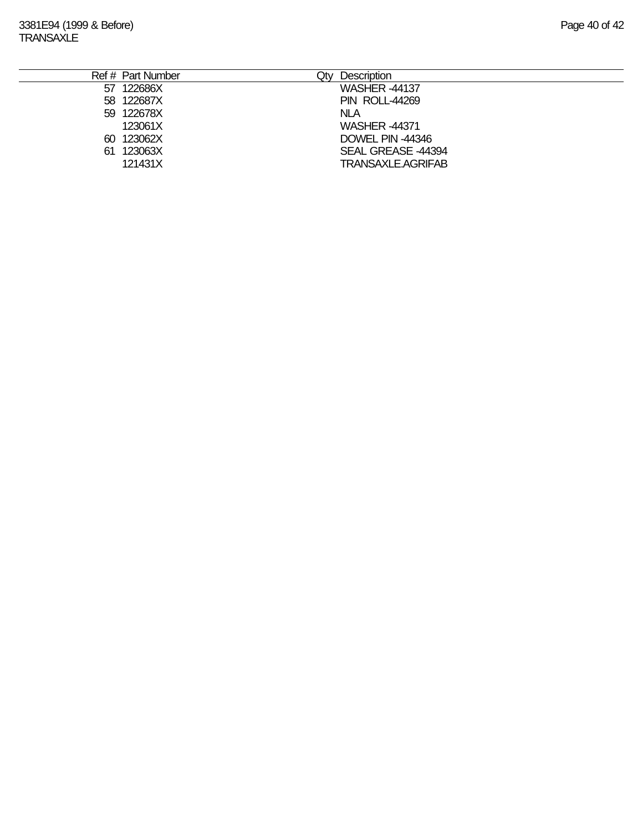|  | Ref # Part Number | Qtv | Description               |
|--|-------------------|-----|---------------------------|
|  | 57 122686X        |     | <b>WASHER -44137</b>      |
|  | 58 122687X        |     | <b>PIN ROLL-44269</b>     |
|  | 59 122678X        |     | <b>NLA</b>                |
|  | 123061X           |     | <b>WASHER -44371</b>      |
|  | 60 123062X        |     | DOWEL PIN -44346          |
|  | 61 123063X        |     | SEAL GREASE -44394        |
|  | 121431X           |     | <b>TRANSAXLE, AGRIFAB</b> |
|  |                   |     |                           |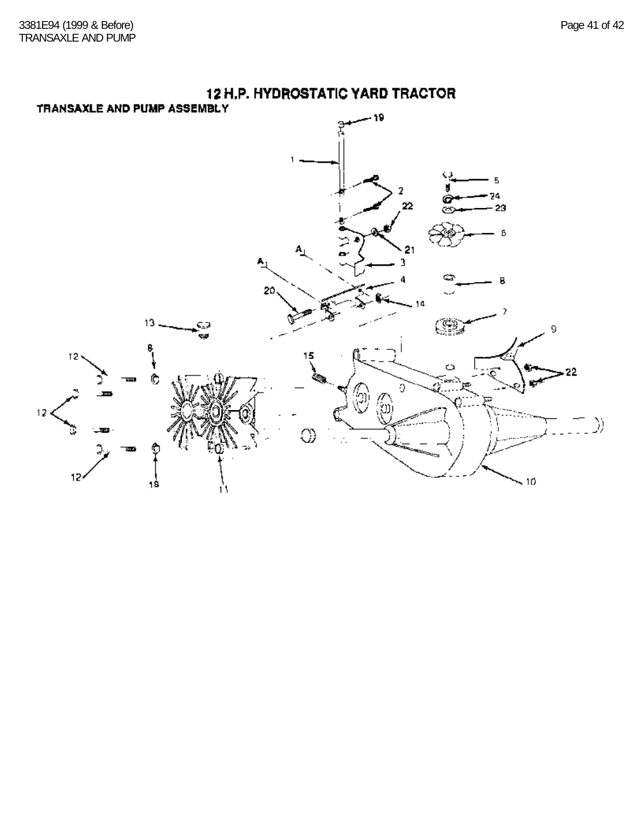